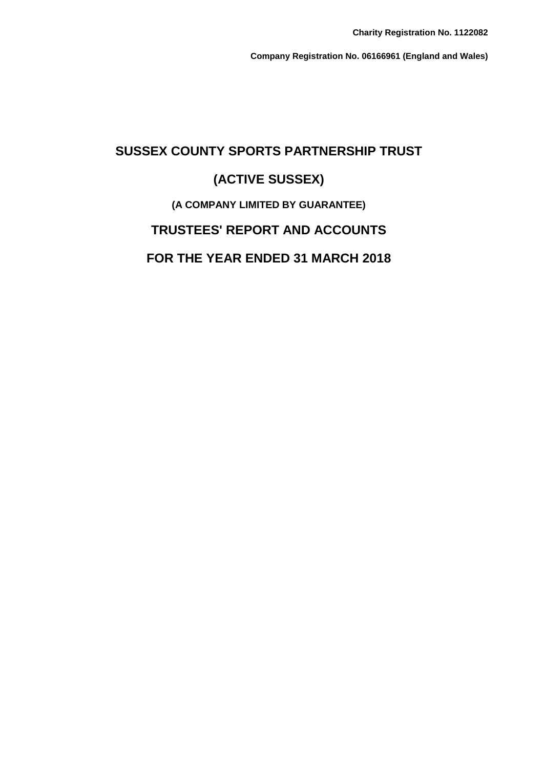**Company Registration No. 06166961 (England and Wales)**

# **SUSSEX COUNTY SPORTS PARTNERSHIP TRUST (ACTIVE SUSSEX) (A COMPANY LIMITED BY GUARANTEE) TRUSTEES' REPORT AND ACCOUNTS FOR THE YEAR ENDED 31 MARCH 2018**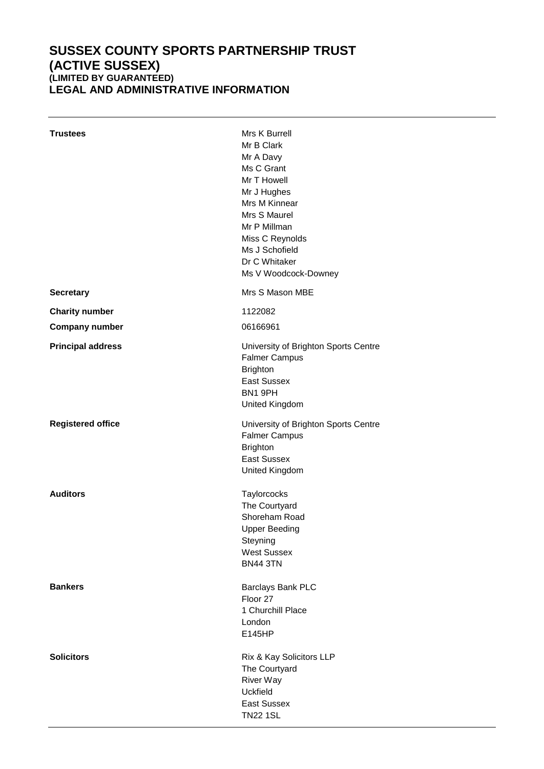### **SUSSEX COUNTY SPORTS PARTNERSHIP TRUST (ACTIVE SUSSEX) (LIMITED BY GUARANTEED)** LEGAL AND ADMINISTRATIVE INFORMATION

| <b>Trustees</b>          | Mrs K Burrell<br>Mr B Clark<br>Mr A Davy<br>Ms C Grant<br>Mr T Howell<br>Mr J Hughes<br>Mrs M Kinnear<br>Mrs S Maurel<br>Mr P Millman<br>Miss C Reynolds<br>Ms J Schofield<br>Dr C Whitaker<br>Ms V Woodcock-Downey |
|--------------------------|---------------------------------------------------------------------------------------------------------------------------------------------------------------------------------------------------------------------|
| <b>Secretary</b>         | Mrs S Mason MBE                                                                                                                                                                                                     |
| <b>Charity number</b>    | 1122082                                                                                                                                                                                                             |
| <b>Company number</b>    | 06166961                                                                                                                                                                                                            |
| <b>Principal address</b> | University of Brighton Sports Centre<br><b>Falmer Campus</b><br><b>Brighton</b><br><b>East Sussex</b><br>BN1 9PH<br>United Kingdom                                                                                  |
| <b>Registered office</b> | University of Brighton Sports Centre<br><b>Falmer Campus</b><br><b>Brighton</b><br><b>East Sussex</b><br>United Kingdom                                                                                             |
| <b>Auditors</b>          | Taylorcocks<br>The Courtyard<br>Shoreham Road<br><b>Upper Beeding</b><br>Steyning<br><b>West Sussex</b><br><b>BN44 3TN</b>                                                                                          |
| <b>Bankers</b>           | Barclays Bank PLC<br>Floor 27<br>1 Churchill Place<br>London<br>E145HP                                                                                                                                              |
| <b>Solicitors</b>        | Rix & Kay Solicitors LLP<br>The Courtyard<br><b>River Way</b><br><b>Uckfield</b><br><b>East Sussex</b><br><b>TN22 1SL</b>                                                                                           |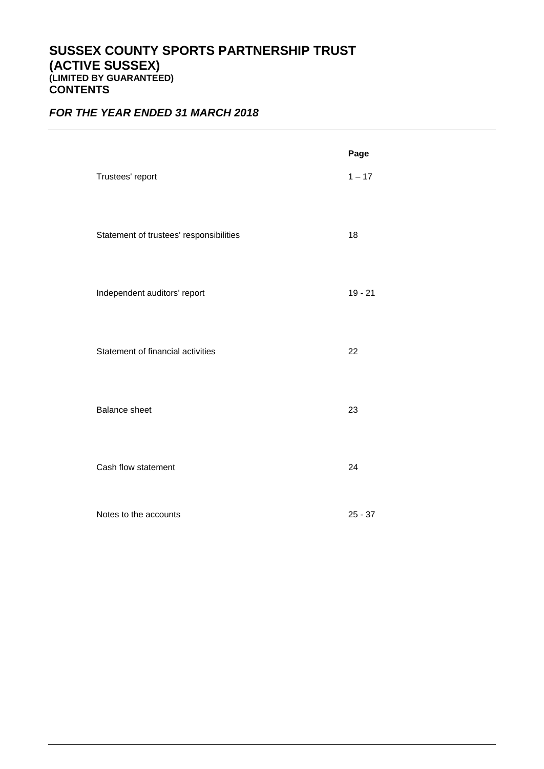### **SUSSEX COUNTY SPORTS PARTNERSHIP TRUST (ACTIVE SUSSEX) (LIMITED BY GUARANTEED) CONTENTS**

### *FOR THE YEAR ENDED 31 MARCH 2018*

|                                         | Page      |
|-----------------------------------------|-----------|
| Trustees' report                        | $1 - 17$  |
|                                         |           |
| Statement of trustees' responsibilities | 18        |
|                                         |           |
|                                         |           |
| Independent auditors' report            | $19 - 21$ |
|                                         |           |
| Statement of financial activities       | 22        |
|                                         |           |
| <b>Balance sheet</b>                    | 23        |
|                                         |           |
| Cash flow statement                     | 24        |
|                                         |           |
| Notes to the accounts                   | $25 - 37$ |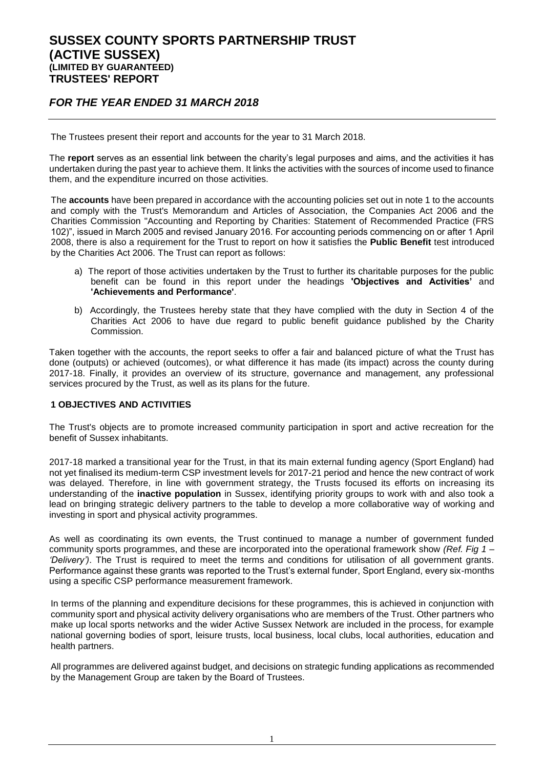### *FOR THE YEAR ENDED 31 MARCH 2018*

The Trustees present their report and accounts for the year to 31 March 2018.

The **report** serves as an essential link between the charity's legal purposes and aims, and the activities it has undertaken during the past year to achieve them. It links the activities with the sources of income used to finance them, and the expenditure incurred on those activities.

The **accounts** have been prepared in accordance with the accounting policies set out in note 1 to the accounts and comply with the Trust's Memorandum and Articles of Association, the Companies Act 2006 and the Charities Commission "Accounting and Reporting by Charities: Statement of Recommended Practice (FRS 102)", issued in March 2005 and revised January 2016. For accounting periods commencing on or after 1 April 2008, there is also a requirement for the Trust to report on how it satisfies the **Public Benefit** test introduced by the Charities Act 2006. The Trust can report as follows:

- a) The report of those activities undertaken by the Trust to further its charitable purposes for the public benefit can be found in this report under the headings **'Objectives and Activities'** and **'Achievements and Performance'**.
- b) Accordingly, the Trustees hereby state that they have complied with the duty in Section 4 of the Charities Act 2006 to have due regard to public benefit guidance published by the Charity Commission.

Taken together with the accounts, the report seeks to offer a fair and balanced picture of what the Trust has done (outputs) or achieved (outcomes), or what difference it has made (its impact) across the county during 2017-18. Finally, it provides an overview of its structure, governance and management, any professional services procured by the Trust, as well as its plans for the future.

#### **1 OBJECTIVES AND ACTIVITIES**

The Trust's objects are to promote increased community participation in sport and active recreation for the benefit of Sussex inhabitants.

2017-18 marked a transitional year for the Trust, in that its main external funding agency (Sport England) had not yet finalised its medium-term CSP investment levels for 2017-21 period and hence the new contract of work was delayed. Therefore, in line with government strategy, the Trusts focused its efforts on increasing its understanding of the **inactive population** in Sussex, identifying priority groups to work with and also took a lead on bringing strategic delivery partners to the table to develop a more collaborative way of working and investing in sport and physical activity programmes.

As well as coordinating its own events, the Trust continued to manage a number of government funded community sports programmes, and these are incorporated into the operational framework show *(Ref. Fig 1 – 'Delivery')*. The Trust is required to meet the terms and conditions for utilisation of all government grants. Performance against these grants was reported to the Trust's external funder, Sport England, every six-months using a specific CSP performance measurement framework.

In terms of the planning and expenditure decisions for these programmes, this is achieved in conjunction with community sport and physical activity delivery organisations who are members of the Trust. Other partners who make up local sports networks and the wider Active Sussex Network are included in the process, for example national governing bodies of sport, leisure trusts, local business, local clubs, local authorities, education and health partners.

All programmes are delivered against budget, and decisions on strategic funding applications as recommended by the Management Group are taken by the Board of Trustees.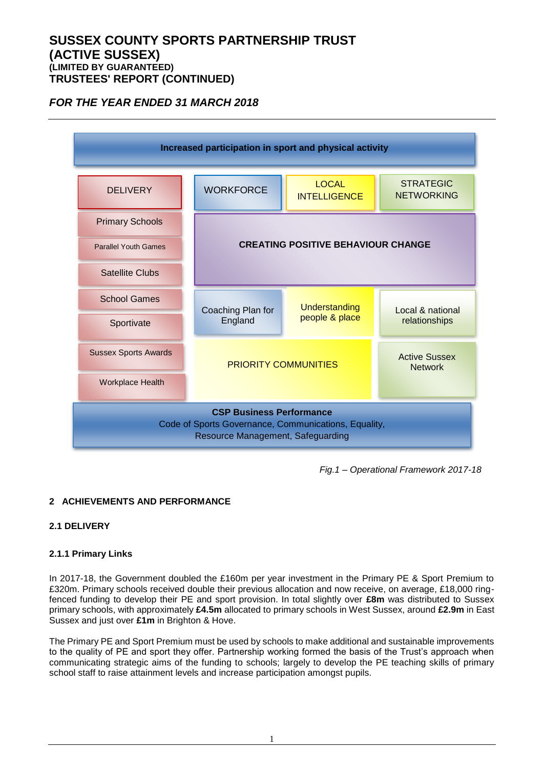### *FOR THE YEAR ENDED 31 MARCH 2018*



*Fig.1 – Operational Framework 2017-18*

### **2 ACHIEVEMENTS AND PERFORMANCE**

### **2.1 DELIVERY**

### **2.1.1 Primary Links**

In 2017-18, the Government doubled the £160m per year investment in the Primary PE & Sport Premium to £320m. Primary schools received double their previous allocation and now receive, on average, £18,000 ringfenced funding to develop their PE and sport provision. In total slightly over **£8m** was distributed to Sussex primary schools, with approximately **£4.5m** allocated to primary schools in West Sussex, around **£2.9m** in East Sussex and just over **£1m** in Brighton & Hove.

The Primary PE and Sport Premium must be used by schools to make additional and sustainable improvements to the quality of PE and sport they offer. Partnership working formed the basis of the Trust's approach when communicating strategic aims of the funding to schools; largely to develop the PE teaching skills of primary school staff to raise attainment levels and increase participation amongst pupils.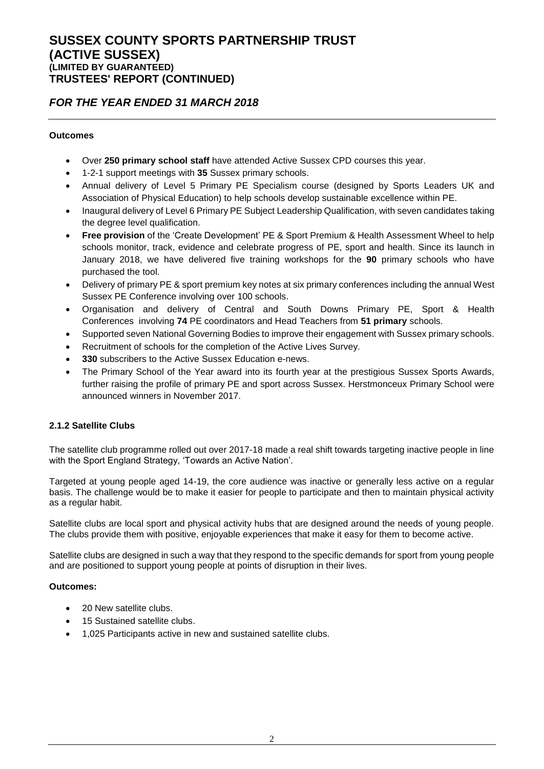### *FOR THE YEAR ENDED 31 MARCH 2018*

### **Outcomes**

- Over **250 primary school staff** have attended Active Sussex CPD courses this year.
- 1-2-1 support meetings with **35** Sussex primary schools.
- Annual delivery of Level 5 Primary PE Specialism course (designed by Sports Leaders UK and Association of Physical Education) to help schools develop sustainable excellence within PE.
- Inaugural delivery of Level 6 Primary PE Subject Leadership Qualification, with seven candidates taking the degree level qualification.
- **Free provision** of the 'Create Development' PE & Sport Premium & Health Assessment Wheel to help schools monitor, track, evidence and celebrate progress of PE, sport and health. Since its launch in January 2018, we have delivered five training workshops for the **90** primary schools who have purchased the tool.
- Delivery of primary PE & sport premium key notes at six primary conferences including the annual West Sussex PE Conference involving over 100 schools.
- Organisation and delivery of Central and South Downs Primary PE, Sport & Health Conferences involving **74** PE coordinators and Head Teachers from **51 primary** schools.
- Supported seven National Governing Bodies to improve their engagement with Sussex primary schools.
- Recruitment of schools for the completion of the Active Lives Survey.
- **330** subscribers to the Active Sussex Education e-news.
- The Primary School of the Year award into its fourth year at the prestigious Sussex Sports Awards, further raising the profile of primary PE and sport across Sussex. Herstmonceux Primary School were announced winners in November 2017.

### **2.1.2 Satellite Clubs**

The satellite club programme rolled out over 2017-18 made a real shift towards targeting inactive people in line with the Sport England Strategy, 'Towards an Active Nation'.

Targeted at young people aged 14-19, the core audience was inactive or generally less active on a regular basis. The challenge would be to make it easier for people to participate and then to maintain physical activity as a regular habit.

Satellite clubs are local sport and physical activity hubs that are designed around the needs of young people. The clubs provide them with positive, enjoyable experiences that make it easy for them to become active.

Satellite clubs are designed in such a way that they respond to the specific demands for sport from young people and are positioned to support young people at points of disruption in their lives.

### **Outcomes:**

- 20 New satellite clubs.
- 15 Sustained satellite clubs.
- 1,025 Participants active in new and sustained satellite clubs.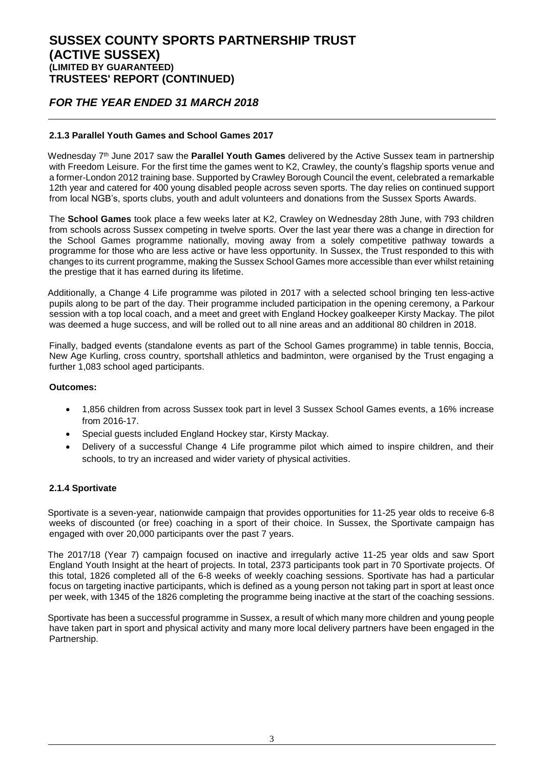### *FOR THE YEAR ENDED 31 MARCH 2018*

### **2.1.3 Parallel Youth Games and School Games 2017**

Wednesday 7 th June 2017 saw the **Parallel Youth Games** delivered by the Active Sussex team in partnership with Freedom Leisure. For the first time the games went to K2, Crawley, the county's flagship sports venue and a former-London 2012 training base. Supported by Crawley Borough Council the event, celebrated a remarkable 12th year and catered for 400 young disabled people across seven sports. The day relies on continued support from local NGB's, sports clubs, youth and adult volunteers and donations from the Sussex Sports Awards.

The **School Games** took place a few weeks later at K2, Crawley on Wednesday 28th June, with 793 children from schools across Sussex competing in twelve sports. Over the last year there was a change in direction for the School Games programme nationally, moving away from a solely competitive pathway towards a programme for those who are less active or have less opportunity. In Sussex, the Trust responded to this with changes to its current programme, making the Sussex School Games more accessible than ever whilst retaining the prestige that it has earned during its lifetime.

Additionally, a Change 4 Life programme was piloted in 2017 with a selected school bringing ten less-active pupils along to be part of the day. Their programme included participation in the opening ceremony, a Parkour session with a top local coach, and a meet and greet with England Hockey goalkeeper Kirsty Mackay. The pilot was deemed a huge success, and will be rolled out to all nine areas and an additional 80 children in 2018.

Finally, badged events (standalone events as part of the School Games programme) in table tennis, Boccia, New Age Kurling, cross country, sportshall athletics and badminton, were organised by the Trust engaging a further 1,083 school aged participants.

### **Outcomes:**

- 1,856 children from across Sussex took part in level 3 Sussex School Games events, a 16% increase from 2016-17.
- Special guests included England Hockey star, Kirsty Mackay.
- Delivery of a successful Change 4 Life programme pilot which aimed to inspire children, and their schools, to try an increased and wider variety of physical activities.

### **2.1.4 Sportivate**

Sportivate is a seven-year, nationwide campaign that provides opportunities for 11-25 year olds to receive 6-8 weeks of discounted (or free) coaching in a sport of their choice. In Sussex, the Sportivate campaign has engaged with over 20,000 participants over the past 7 years.

The 2017/18 (Year 7) campaign focused on inactive and irregularly active 11-25 year olds and saw Sport England Youth Insight at the heart of projects. In total, 2373 participants took part in 70 Sportivate projects. Of this total, 1826 completed all of the 6-8 weeks of weekly coaching sessions. Sportivate has had a particular focus on targeting inactive participants, which is defined as a young person not taking part in sport at least once per week, with 1345 of the 1826 completing the programme being inactive at the start of the coaching sessions.

Sportivate has been a successful programme in Sussex, a result of which many more children and young people have taken part in sport and physical activity and many more local delivery partners have been engaged in the Partnership.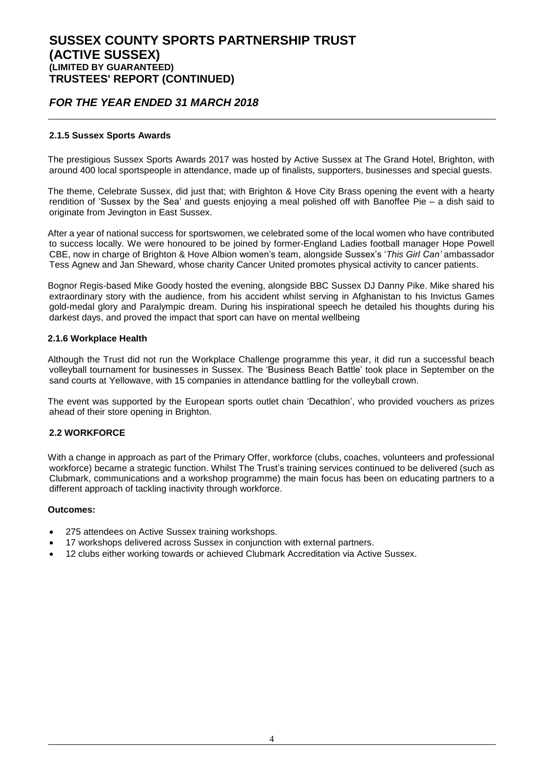### *FOR THE YEAR ENDED 31 MARCH 2018*

#### **2.1.5 Sussex Sports Awards**

The prestigious Sussex Sports Awards 2017 was hosted by Active Sussex at The Grand Hotel, Brighton, with around 400 local sportspeople in attendance, made up of finalists, supporters, businesses and special guests.

The theme, Celebrate Sussex, did just that; with Brighton & Hove City Brass opening the event with a hearty rendition of 'Sussex by the Sea' and guests enjoying a meal polished off with Banoffee Pie – a dish said to originate from Jevington in East Sussex.

After a year of national success for sportswomen, we celebrated some of the local women who have contributed to success locally. We were honoured to be joined by former-England Ladies football manager Hope Powell CBE, now in charge of Brighton & Hove Albion women's team, alongside Sussex's '*This Girl Can'* ambassador Tess Agnew and Jan Sheward, whose charity Cancer United promotes physical activity to cancer patients.

Bognor Regis-based Mike Goody hosted the evening, alongside BBC Sussex DJ Danny Pike. Mike shared his extraordinary story with the audience, from his accident whilst serving in Afghanistan to his Invictus Games gold-medal glory and Paralympic dream. During his inspirational speech he detailed his thoughts during his darkest days, and proved the impact that sport can have on mental wellbeing

#### **2.1.6 Workplace Health**

Although the Trust did not run the Workplace Challenge programme this year, it did run a successful beach volleyball tournament for businesses in Sussex. The 'Business Beach Battle' took place in September on the sand courts at Yellowave, with 15 companies in attendance battling for the volleyball crown.

The event was supported by the European sports outlet chain 'Decathlon', who provided vouchers as prizes ahead of their store opening in Brighton.

### **2.2 WORKFORCE**

With a change in approach as part of the Primary Offer, workforce (clubs, coaches, volunteers and professional workforce) became a strategic function. Whilst The Trust's training services continued to be delivered (such as Clubmark, communications and a workshop programme) the main focus has been on educating partners to a different approach of tackling inactivity through workforce.

#### **Outcomes:**

- 275 attendees on Active Sussex training workshops.
- 17 workshops delivered across Sussex in conjunction with external partners.
- 12 clubs either working towards or achieved Clubmark Accreditation via Active Sussex.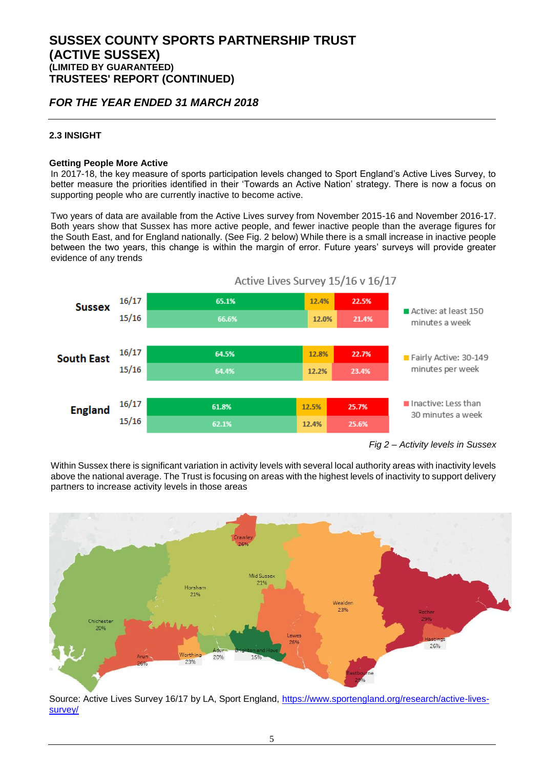### *FOR THE YEAR ENDED 31 MARCH 2018*

### **2.3 INSIGHT**

#### **Getting People More Active**

In 2017-18, the key measure of sports participation levels changed to Sport England's Active Lives Survey, to better measure the priorities identified in their 'Towards an Active Nation' strategy. There is now a focus on supporting people who are currently inactive to become active.

Two years of data are available from the Active Lives survey from November 2015-16 and November 2016-17. Both years show that Sussex has more active people, and fewer inactive people than the average figures for the South East, and for England nationally. (See Fig. 2 below) While there is a small increase in inactive people between the two years, this change is within the margin of error. Future years' surveys will provide greater evidence of any trends



*Fig 2 – Activity levels in Sussex*

Within Sussex there is significant variation in activity levels with several local authority areas with inactivity levels above the national average. The Trust is focusing on areas with the highest levels of inactivity to support delivery partners to increase activity levels in those areas



Source: Active Lives Survey 16/17 by LA, Sport England, [https://www.sportengland.org/research/active-lives](https://www.sportengland.org/research/active-lives-survey/)[survey/](https://www.sportengland.org/research/active-lives-survey/)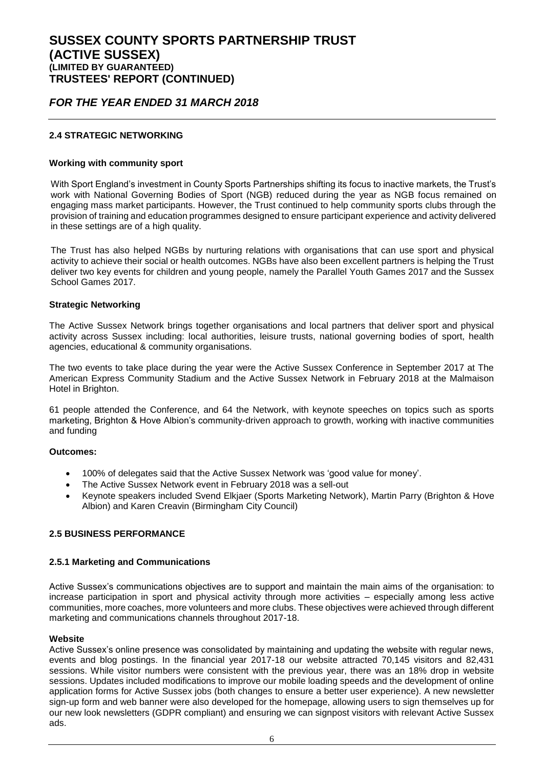### *FOR THE YEAR ENDED 31 MARCH 2018*

### **2.4 STRATEGIC NETWORKING**

#### **Working with community sport**

With Sport England's investment in County Sports Partnerships shifting its focus to inactive markets, the Trust's work with National Governing Bodies of Sport (NGB) reduced during the year as NGB focus remained on engaging mass market participants. However, the Trust continued to help community sports clubs through the provision of training and education programmes designed to ensure participant experience and activity delivered in these settings are of a high quality.

The Trust has also helped NGBs by nurturing relations with organisations that can use sport and physical activity to achieve their social or health outcomes. NGBs have also been excellent partners is helping the Trust deliver two key events for children and young people, namely the Parallel Youth Games 2017 and the Sussex School Games 2017.

#### **Strategic Networking**

The Active Sussex Network brings together organisations and local partners that deliver sport and physical activity across Sussex including: local authorities, leisure trusts, national governing bodies of sport, health agencies, educational & community organisations.

The two events to take place during the year were the Active Sussex Conference in September 2017 at The American Express Community Stadium and the Active Sussex Network in February 2018 at the Malmaison Hotel in Brighton.

61 people attended the Conference, and 64 the Network, with keynote speeches on topics such as sports marketing, Brighton & Hove Albion's community-driven approach to growth, working with inactive communities and funding

#### **Outcomes:**

- 100% of delegates said that the Active Sussex Network was 'good value for money'.
- The Active Sussex Network event in February 2018 was a sell-out
- Keynote speakers included Svend Elkjaer (Sports Marketing Network), Martin Parry (Brighton & Hove Albion) and Karen Creavin (Birmingham City Council)

### **2.5 BUSINESS PERFORMANCE**

#### **2.5.1 Marketing and Communications**

Active Sussex's communications objectives are to support and maintain the main aims of the organisation: to increase participation in sport and physical activity through more activities – especially among less active communities, more coaches, more volunteers and more clubs. These objectives were achieved through different marketing and communications channels throughout 2017-18.

#### **Website**

Active Sussex's online presence was consolidated by maintaining and updating the website with regular news, events and blog postings. In the financial year 2017-18 our website attracted 70,145 visitors and 82,431 sessions. While visitor numbers were consistent with the previous year, there was an 18% drop in website sessions. Updates included modifications to improve our mobile loading speeds and the development of online application forms for Active Sussex jobs (both changes to ensure a better user experience). A new newsletter sign-up form and web banner were also developed for the homepage, allowing users to sign themselves up for our new look newsletters (GDPR compliant) and ensuring we can signpost visitors with relevant Active Sussex ads.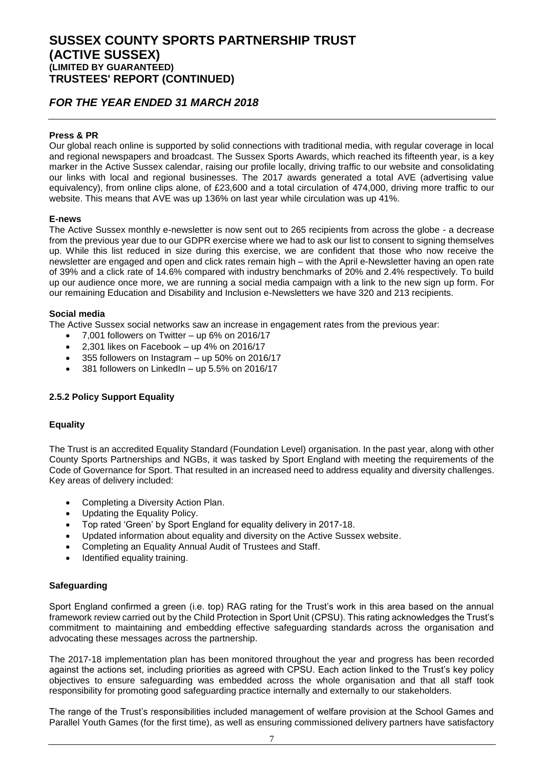### *FOR THE YEAR ENDED 31 MARCH 2018*

### **Press & PR**

Our global reach online is supported by solid connections with traditional media, with regular coverage in local and regional newspapers and broadcast. The Sussex Sports Awards, which reached its fifteenth year, is a key marker in the Active Sussex calendar, raising our profile locally, driving traffic to our website and consolidating our links with local and regional businesses. The 2017 awards generated a total AVE (advertising value equivalency), from online clips alone, of £23,600 and a total circulation of 474,000, driving more traffic to our website. This means that AVE was up 136% on last year while circulation was up 41%.

### **E-news**

The Active Sussex monthly e-newsletter is now sent out to 265 recipients from across the globe - a decrease from the previous year due to our GDPR exercise where we had to ask our list to consent to signing themselves up. While this list reduced in size during this exercise, we are confident that those who now receive the newsletter are engaged and open and click rates remain high – with the April e-Newsletter having an open rate of 39% and a click rate of 14.6% compared with industry benchmarks of 20% and 2.4% respectively. To build up our audience once more, we are running a social media campaign with a link to the new sign up form. For our remaining Education and Disability and Inclusion e-Newsletters we have 320 and 213 recipients.

### **Social media**

The Active Sussex social networks saw an increase in engagement rates from the previous year:

- 7,001 followers on Twitter up 6% on 2016/17
- 2,301 likes on Facebook up 4% on 2016/17
- 355 followers on Instagram up 50% on 2016/17
- 381 followers on LinkedIn up 5.5% on 2016/17

### **2.5.2 Policy Support Equality**

### **Equality**

The Trust is an accredited Equality Standard (Foundation Level) organisation. In the past year, along with other County Sports Partnerships and NGBs, it was tasked by Sport England with meeting the requirements of the Code of Governance for Sport. That resulted in an increased need to address equality and diversity challenges. Key areas of delivery included:

- Completing a Diversity Action Plan.
- Updating the Equality Policy.
- Top rated 'Green' by Sport England for equality delivery in 2017-18.
- Updated information about equality and diversity on the Active Sussex website.
- Completing an Equality Annual Audit of Trustees and Staff.
- Identified equality training.

### **Safeguarding**

Sport England confirmed a green (i.e. top) RAG rating for the Trust's work in this area based on the annual framework review carried out by the Child Protection in Sport Unit (CPSU). This rating acknowledges the Trust's commitment to maintaining and embedding effective safeguarding standards across the organisation and advocating these messages across the partnership.

The 2017-18 implementation plan has been monitored throughout the year and progress has been recorded against the actions set, including priorities as agreed with CPSU. Each action linked to the Trust's key policy objectives to ensure safeguarding was embedded across the whole organisation and that all staff took responsibility for promoting good safeguarding practice internally and externally to our stakeholders.

The range of the Trust's responsibilities included management of welfare provision at the School Games and Parallel Youth Games (for the first time), as well as ensuring commissioned delivery partners have satisfactory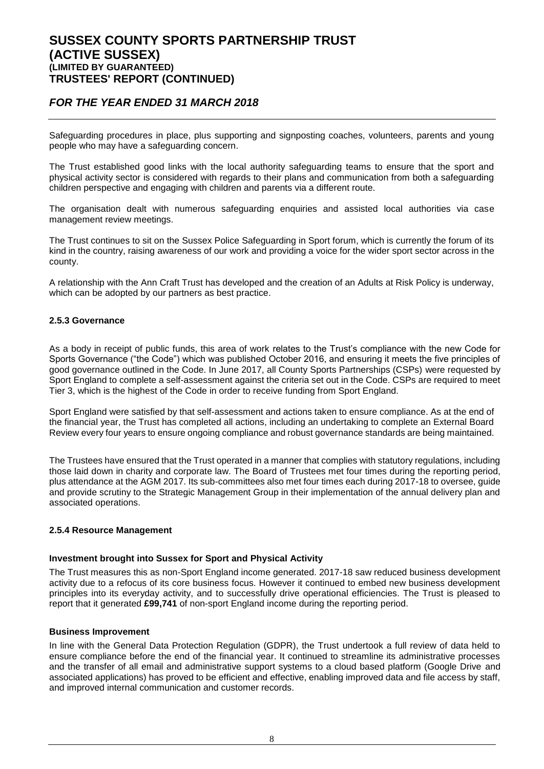### *FOR THE YEAR ENDED 31 MARCH 2018*

Safeguarding procedures in place, plus supporting and signposting coaches, volunteers, parents and young people who may have a safeguarding concern.

The Trust established good links with the local authority safeguarding teams to ensure that the sport and physical activity sector is considered with regards to their plans and communication from both a safeguarding children perspective and engaging with children and parents via a different route.

The organisation dealt with numerous safeguarding enquiries and assisted local authorities via case management review meetings.

The Trust continues to sit on the Sussex Police Safeguarding in Sport forum, which is currently the forum of its kind in the country, raising awareness of our work and providing a voice for the wider sport sector across in the county.

A relationship with the Ann Craft Trust has developed and the creation of an Adults at Risk Policy is underway, which can be adopted by our partners as best practice.

### **2.5.3 Governance**

As a body in receipt of public funds, this area of work relates to the Trust's compliance with the new Code for Sports Governance ("the Code") which was published October 2016, and ensuring it meets the five principles of good governance outlined in the Code. In June 2017, all County Sports Partnerships (CSPs) were requested by Sport England to complete a self-assessment against the criteria set out in the Code. CSPs are required to meet Tier 3, which is the highest of the Code in order to receive funding from Sport England.

Sport England were satisfied by that self-assessment and actions taken to ensure compliance. As at the end of the financial year, the Trust has completed all actions, including an undertaking to complete an External Board Review every four years to ensure ongoing compliance and robust governance standards are being maintained.

The Trustees have ensured that the Trust operated in a manner that complies with statutory regulations, including those laid down in charity and corporate law. The Board of Trustees met four times during the reporting period, plus attendance at the AGM 2017. Its sub-committees also met four times each during 2017-18 to oversee, guide and provide scrutiny to the Strategic Management Group in their implementation of the annual delivery plan and associated operations.

#### **2.5.4 Resource Management**

#### **Investment brought into Sussex for Sport and Physical Activity**

The Trust measures this as non-Sport England income generated. 2017-18 saw reduced business development activity due to a refocus of its core business focus. However it continued to embed new business development principles into its everyday activity, and to successfully drive operational efficiencies. The Trust is pleased to report that it generated **£99,741** of non-sport England income during the reporting period.

#### **Business Improvement**

In line with the General Data Protection Regulation (GDPR), the Trust undertook a full review of data held to ensure compliance before the end of the financial year. It continued to streamline its administrative processes and the transfer of all email and administrative support systems to a cloud based platform (Google Drive and associated applications) has proved to be efficient and effective, enabling improved data and file access by staff, and improved internal communication and customer records.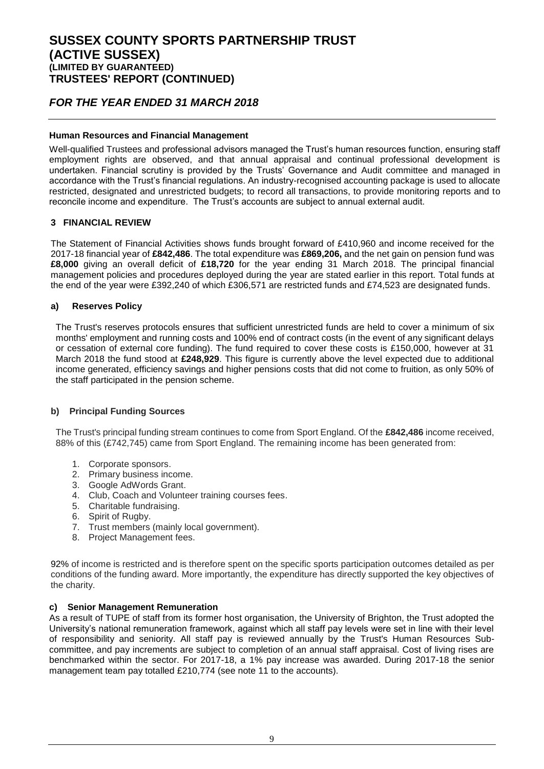### *FOR THE YEAR ENDED 31 MARCH 2018*

### **Human Resources and Financial Management**

Well-qualified Trustees and professional advisors managed the Trust's human resources function, ensuring staff employment rights are observed, and that annual appraisal and continual professional development is undertaken. Financial scrutiny is provided by the Trusts' Governance and Audit committee and managed in accordance with the Trust's financial regulations. An industry-recognised accounting package is used to allocate restricted, designated and unrestricted budgets; to record all transactions, to provide monitoring reports and to reconcile income and expenditure. The Trust's accounts are subject to annual external audit.

### **3 FINANCIAL REVIEW**

The Statement of Financial Activities shows funds brought forward of £410,960 and income received for the 2017-18 financial year of **£842,486**. The total expenditure was **£869,206,** and the net gain on pension fund was **£8,000** giving an overall deficit of **£18,720** for the year ending 31 March 2018. The principal financial management policies and procedures deployed during the year are stated earlier in this report. Total funds at the end of the year were £392,240 of which £306,571 are restricted funds and £74,523 are designated funds.

#### **a) Reserves Policy**

The Trust's reserves protocols ensures that sufficient unrestricted funds are held to cover a minimum of six months' employment and running costs and 100% end of contract costs (in the event of any significant delays or cessation of external core funding). The fund required to cover these costs is £150,000, however at 31 March 2018 the fund stood at **£248,929**. This figure is currently above the level expected due to additional income generated, efficiency savings and higher pensions costs that did not come to fruition, as only 50% of the staff participated in the pension scheme.

### **b) Principal Funding Sources**

The Trust's principal funding stream continues to come from Sport England. Of the **£842,486** income received, 88% of this (£742,745) came from Sport England. The remaining income has been generated from:

- 1. Corporate sponsors.
- 2. Primary business income.
- 3. Google AdWords Grant.
- 4. Club, Coach and Volunteer training courses fees.
- 5. Charitable fundraising.
- 6. Spirit of Rugby.
- 7. Trust members (mainly local government).
- 8. Project Management fees.

92% of income is restricted and is therefore spent on the specific sports participation outcomes detailed as per conditions of the funding award. More importantly, the expenditure has directly supported the key objectives of the charity.

#### **c) Senior Management Remuneration**

As a result of TUPE of staff from its former host organisation, the University of Brighton, the Trust adopted the University's national remuneration framework, against which all staff pay levels were set in line with their level of responsibility and seniority. All staff pay is reviewed annually by the Trust's Human Resources Subcommittee, and pay increments are subject to completion of an annual staff appraisal. Cost of living rises are benchmarked within the sector. For 2017-18, a 1% pay increase was awarded. During 2017-18 the senior management team pay totalled £210,774 (see note 11 to the accounts).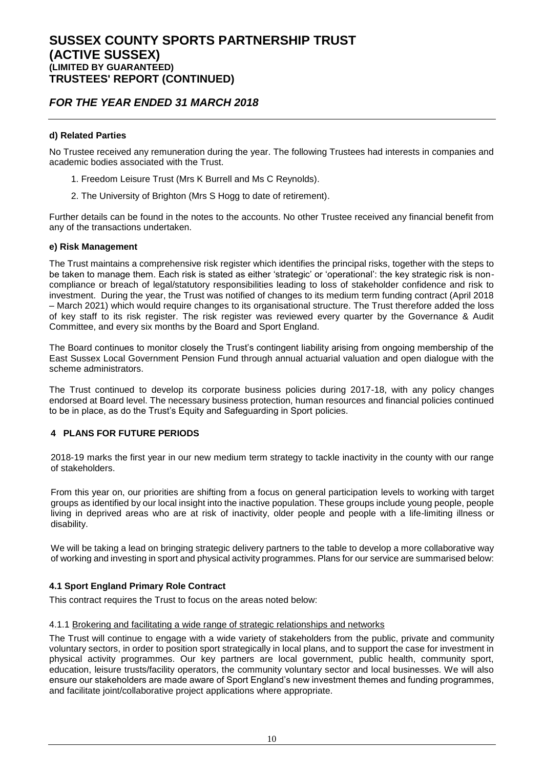### *FOR THE YEAR ENDED 31 MARCH 2018*

### **d) Related Parties**

No Trustee received any remuneration during the year. The following Trustees had interests in companies and academic bodies associated with the Trust.

- 1. Freedom Leisure Trust (Mrs K Burrell and Ms C Reynolds).
- 2. The University of Brighton (Mrs S Hogg to date of retirement).

Further details can be found in the notes to the accounts. No other Trustee received any financial benefit from any of the transactions undertaken.

### **e) Risk Management**

The Trust maintains a comprehensive risk register which identifies the principal risks, together with the steps to be taken to manage them. Each risk is stated as either 'strategic' or 'operational': the key strategic risk is noncompliance or breach of legal/statutory responsibilities leading to loss of stakeholder confidence and risk to investment. During the year, the Trust was notified of changes to its medium term funding contract (April 2018 – March 2021) which would require changes to its organisational structure. The Trust therefore added the loss of key staff to its risk register. The risk register was reviewed every quarter by the Governance & Audit Committee, and every six months by the Board and Sport England.

The Board continues to monitor closely the Trust's contingent liability arising from ongoing membership of the East Sussex Local Government Pension Fund through annual actuarial valuation and open dialogue with the scheme administrators.

The Trust continued to develop its corporate business policies during 2017-18, with any policy changes endorsed at Board level. The necessary business protection, human resources and financial policies continued to be in place, as do the Trust's Equity and Safeguarding in Sport policies.

### **4 PLANS FOR FUTURE PERIODS**

2018-19 marks the first year in our new medium term strategy to tackle inactivity in the county with our range of stakeholders.

From this year on, our priorities are shifting from a focus on general participation levels to working with target groups as identified by our local insight into the inactive population. These groups include young people, people living in deprived areas who are at risk of inactivity, older people and people with a life-limiting illness or disability.

We will be taking a lead on bringing strategic delivery partners to the table to develop a more collaborative way of working and investing in sport and physical activity programmes. Plans for our service are summarised below:

### **4.1 Sport England Primary Role Contract**

This contract requires the Trust to focus on the areas noted below:

### 4.1.1 Brokering and facilitating a wide range of strategic relationships and networks

The Trust will continue to engage with a wide variety of stakeholders from the public, private and community voluntary sectors, in order to position sport strategically in local plans, and to support the case for investment in physical activity programmes. Our key partners are local government, public health, community sport, education, leisure trusts/facility operators, the community voluntary sector and local businesses. We will also ensure our stakeholders are made aware of Sport England's new investment themes and funding programmes, and facilitate joint/collaborative project applications where appropriate.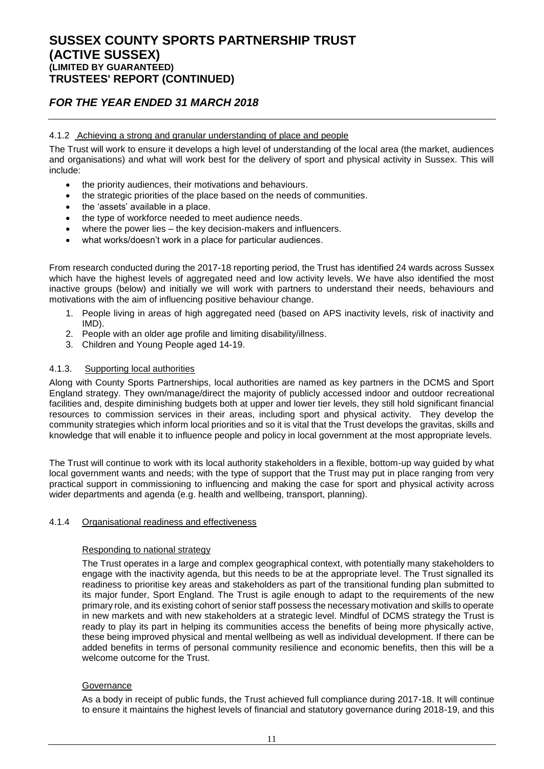### *FOR THE YEAR ENDED 31 MARCH 2018*

### 4.1.2 Achieving a strong and granular understanding of place and people

The Trust will work to ensure it develops a high level of understanding of the local area (the market, audiences and organisations) and what will work best for the delivery of sport and physical activity in Sussex. This will include:

- the priority audiences, their motivations and behaviours.
- the strategic priorities of the place based on the needs of communities.
- the 'assets' available in a place.
- the type of workforce needed to meet audience needs.
- where the power lies the key decision-makers and influencers.
- what works/doesn't work in a place for particular audiences.

From research conducted during the 2017-18 reporting period, the Trust has identified 24 wards across Sussex which have the highest levels of aggregated need and low activity levels. We have also identified the most inactive groups (below) and initially we will work with partners to understand their needs, behaviours and motivations with the aim of influencing positive behaviour change.

- 1. People living in areas of high aggregated need (based on APS inactivity levels, risk of inactivity and IMD).
- 2. People with an older age profile and limiting disability/illness.
- 3. Children and Young People aged 14-19.

#### 4.1.3. Supporting local authorities

Along with County Sports Partnerships, local authorities are named as key partners in the DCMS and Sport England strategy. They own/manage/direct the majority of publicly accessed indoor and outdoor recreational facilities and, despite diminishing budgets both at upper and lower tier levels, they still hold significant financial resources to commission services in their areas, including sport and physical activity. They develop the community strategies which inform local priorities and so it is vital that the Trust develops the gravitas, skills and knowledge that will enable it to influence people and policy in local government at the most appropriate levels.

The Trust will continue to work with its local authority stakeholders in a flexible, bottom-up way guided by what local government wants and needs; with the type of support that the Trust may put in place ranging from very practical support in commissioning to influencing and making the case for sport and physical activity across wider departments and agenda (e.g. health and wellbeing, transport, planning).

#### 4.1.4 Organisational readiness and effectiveness

#### Responding to national strategy

The Trust operates in a large and complex geographical context, with potentially many stakeholders to engage with the inactivity agenda, but this needs to be at the appropriate level. The Trust signalled its readiness to prioritise key areas and stakeholders as part of the transitional funding plan submitted to its major funder, Sport England. The Trust is agile enough to adapt to the requirements of the new primary role, and its existing cohort of senior staff possess the necessary motivation and skills to operate in new markets and with new stakeholders at a strategic level. Mindful of DCMS strategy the Trust is ready to play its part in helping its communities access the benefits of being more physically active, these being improved physical and mental wellbeing as well as individual development. If there can be added benefits in terms of personal community resilience and economic benefits, then this will be a welcome outcome for the Trust.

#### **Governance**

As a body in receipt of public funds, the Trust achieved full compliance during 2017-18. It will continue to ensure it maintains the highest levels of financial and statutory governance during 2018-19, and this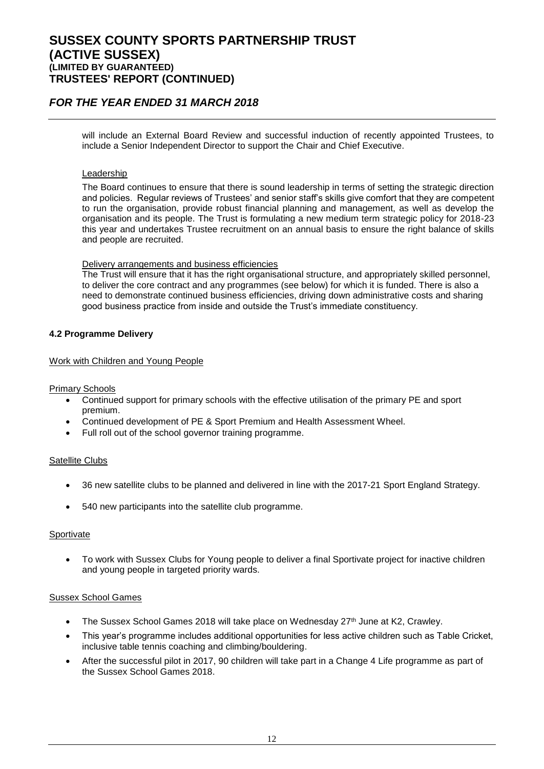### *FOR THE YEAR ENDED 31 MARCH 2018*

will include an External Board Review and successful induction of recently appointed Trustees, to include a Senior Independent Director to support the Chair and Chief Executive.

#### Leadership

The Board continues to ensure that there is sound leadership in terms of setting the strategic direction and policies. Regular reviews of Trustees' and senior staff's skills give comfort that they are competent to run the organisation, provide robust financial planning and management, as well as develop the organisation and its people. The Trust is formulating a new medium term strategic policy for 2018-23 this year and undertakes Trustee recruitment on an annual basis to ensure the right balance of skills and people are recruited.

#### Delivery arrangements and business efficiencies

The Trust will ensure that it has the right organisational structure, and appropriately skilled personnel, to deliver the core contract and any programmes (see below) for which it is funded. There is also a need to demonstrate continued business efficiencies, driving down administrative costs and sharing good business practice from inside and outside the Trust's immediate constituency.

### **4.2 Programme Delivery**

#### Work with Children and Young People

Primary Schools

- Continued support for primary schools with the effective utilisation of the primary PE and sport premium.
- Continued development of PE & Sport Premium and Health Assessment Wheel.
- Full roll out of the school governor training programme.

#### Satellite Clubs

- 36 new satellite clubs to be planned and delivered in line with the 2017-21 Sport England Strategy.
- 540 new participants into the satellite club programme.

#### Sportivate

 To work with Sussex Clubs for Young people to deliver a final Sportivate project for inactive children and young people in targeted priority wards.

#### Sussex School Games

- $\bullet$  The Sussex School Games 2018 will take place on Wednesday 27<sup>th</sup> June at K2, Crawley.
- This year's programme includes additional opportunities for less active children such as Table Cricket, inclusive table tennis coaching and climbing/bouldering.
- After the successful pilot in 2017, 90 children will take part in a Change 4 Life programme as part of the Sussex School Games 2018.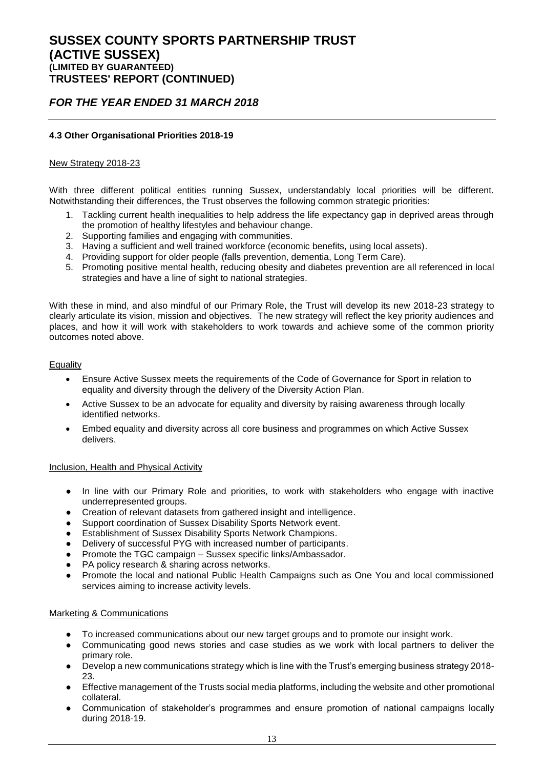### *FOR THE YEAR ENDED 31 MARCH 2018*

### **4.3 Other Organisational Priorities 2018-19**

### New Strategy 2018-23

With three different political entities running Sussex, understandably local priorities will be different. Notwithstanding their differences, the Trust observes the following common strategic priorities:

- 1. Tackling current health inequalities to help address the life expectancy gap in deprived areas through the promotion of healthy lifestyles and behaviour change.
- 2. Supporting families and engaging with communities.
- 3. Having a sufficient and well trained workforce (economic benefits, using local assets).
- 4. Providing support for older people (falls prevention, dementia, Long Term Care).
- 5. Promoting positive mental health, reducing obesity and diabetes prevention are all referenced in local strategies and have a line of sight to national strategies.

With these in mind, and also mindful of our Primary Role, the Trust will develop its new 2018-23 strategy to clearly articulate its vision, mission and objectives. The new strategy will reflect the key priority audiences and places, and how it will work with stakeholders to work towards and achieve some of the common priority outcomes noted above.

#### Equality

- Ensure Active Sussex meets the requirements of the Code of Governance for Sport in relation to equality and diversity through the delivery of the Diversity Action Plan.
- Active Sussex to be an advocate for equality and diversity by raising awareness through locally identified networks.
- Embed equality and diversity across all core business and programmes on which Active Sussex delivers.

#### Inclusion, Health and Physical Activity

- In line with our Primary Role and priorities, to work with stakeholders who engage with inactive underrepresented groups.
- Creation of relevant datasets from gathered insight and intelligence.
- Support coordination of Sussex Disability Sports Network event.
- **Establishment of Sussex Disability Sports Network Champions.**
- Delivery of successful PYG with increased number of participants.
- Promote the TGC campaign Sussex specific links/Ambassador.
- PA policy research & sharing across networks.
- Promote the local and national Public Health Campaigns such as One You and local commissioned services aiming to increase activity levels.

#### Marketing & Communications

- To increased communications about our new target groups and to promote our insight work.
- Communicating good news stories and case studies as we work with local partners to deliver the primary role.
- Develop a new communications strategy which is line with the Trust's emerging business strategy 2018-23.
- Effective management of the Trusts social media platforms, including the website and other promotional collateral.
- Communication of stakeholder's programmes and ensure promotion of national campaigns locally during 2018-19.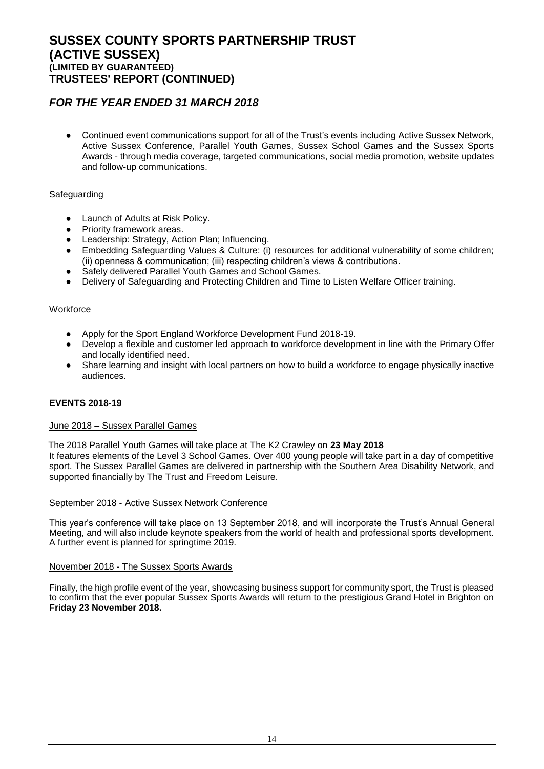### *FOR THE YEAR ENDED 31 MARCH 2018*

Continued event communications support for all of the Trust's events including Active Sussex Network, Active Sussex Conference, Parallel Youth Games, Sussex School Games and the Sussex Sports Awards - through media coverage, targeted communications, social media promotion, website updates and follow-up communications.

### **Safeguarding**

- Launch of Adults at Risk Policy.
- Priority framework areas.
- Leadership: Strategy, Action Plan; Influencing.
- Embedding Safeguarding Values & Culture: (i) resources for additional vulnerability of some children; (ii) openness & communication; (iii) respecting children's views & contributions.
- Safely delivered Parallel Youth Games and School Games.
- Delivery of Safeguarding and Protecting Children and Time to Listen Welfare Officer training.

### **Workforce**

- Apply for the Sport England Workforce Development Fund 2018-19.
- Develop a flexible and customer led approach to workforce development in line with the Primary Offer and locally identified need.
- Share learning and insight with local partners on how to build a workforce to engage physically inactive audiences.

### **EVENTS 2018-19**

### June 2018 – Sussex Parallel Games

The 2018 Parallel Youth Games will take place at The K2 Crawley on **23 May 2018** It features elements of the Level 3 School Games. Over 400 young people will take part in a day of competitive sport. The Sussex Parallel Games are delivered in partnership with the Southern Area Disability Network, and supported financially by The Trust and Freedom Leisure.

### September 2018 - Active Sussex Network Conference

This year's conference will take place on 13 September 2018, and will incorporate the Trust's Annual General Meeting, and will also include keynote speakers from the world of health and professional sports development. A further event is planned for springtime 2019.

### November 2018 - The Sussex Sports Awards

Finally, the high profile event of the year, showcasing business support for community sport, the Trust is pleased to confirm that the ever popular Sussex Sports Awards will return to the prestigious Grand Hotel in Brighton on **Friday 23 November 2018.**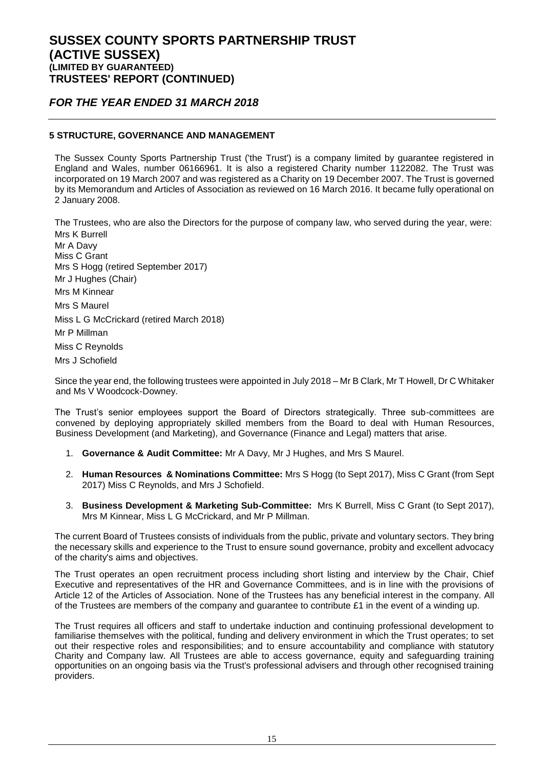### *FOR THE YEAR ENDED 31 MARCH 2018*

### **5 STRUCTURE, GOVERNANCE AND MANAGEMENT**

The Sussex County Sports Partnership Trust ('the Trust') is a company limited by guarantee registered in England and Wales, number 06166961. It is also a registered Charity number 1122082. The Trust was incorporated on 19 March 2007 and was registered as a Charity on 19 December 2007. The Trust is governed by its Memorandum and Articles of Association as reviewed on 16 March 2016. It became fully operational on 2 January 2008.

The Trustees, who are also the Directors for the purpose of company law, who served during the year, were: Mrs K Burrell Mr A Davy Miss C Grant Mrs S Hogg (retired September 2017) Mr J Hughes (Chair) Mrs M Kinnear Mrs S Maurel

Miss L G McCrickard (retired March 2018)

Mr P Millman

Miss C Reynolds

Mrs J Schofield

Since the year end, the following trustees were appointed in July 2018 – Mr B Clark, Mr T Howell, Dr C Whitaker and Ms V Woodcock-Downey.

The Trust's senior employees support the Board of Directors strategically. Three sub-committees are convened by deploying appropriately skilled members from the Board to deal with Human Resources, Business Development (and Marketing), and Governance (Finance and Legal) matters that arise.

- 1. **Governance & Audit Committee:** Mr A Davy, Mr J Hughes, and Mrs S Maurel.
- 2. **Human Resources & Nominations Committee:** Mrs S Hogg (to Sept 2017), Miss C Grant (from Sept 2017) Miss C Reynolds, and Mrs J Schofield.
- 3. **Business Development & Marketing Sub-Committee:** Mrs K Burrell, Miss C Grant (to Sept 2017), Mrs M Kinnear, Miss L G McCrickard, and Mr P Millman.

The current Board of Trustees consists of individuals from the public, private and voluntary sectors. They bring the necessary skills and experience to the Trust to ensure sound governance, probity and excellent advocacy of the charity's aims and objectives.

The Trust operates an open recruitment process including short listing and interview by the Chair, Chief Executive and representatives of the HR and Governance Committees, and is in line with the provisions of Article 12 of the Articles of Association. None of the Trustees has any beneficial interest in the company. All of the Trustees are members of the company and guarantee to contribute £1 in the event of a winding up.

The Trust requires all officers and staff to undertake induction and continuing professional development to familiarise themselves with the political, funding and delivery environment in which the Trust operates; to set out their respective roles and responsibilities; and to ensure accountability and compliance with statutory Charity and Company law. All Trustees are able to access governance, equity and safeguarding training opportunities on an ongoing basis via the Trust's professional advisers and through other recognised training providers.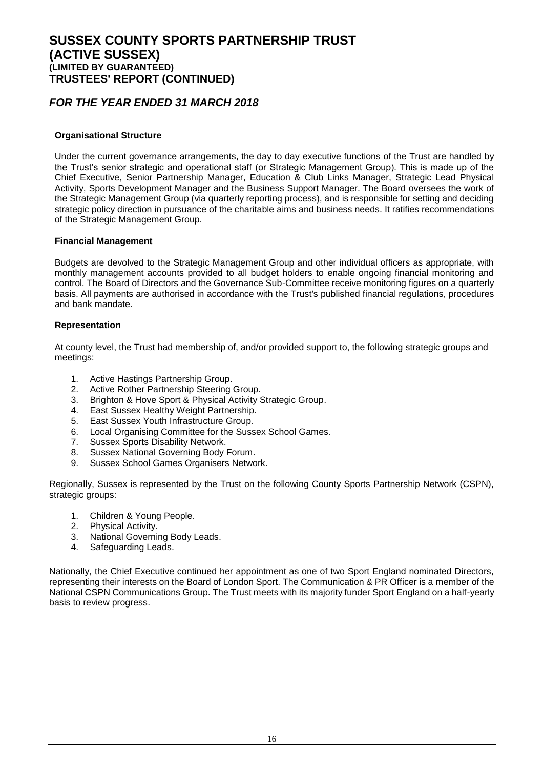### *FOR THE YEAR ENDED 31 MARCH 2018*

#### **Organisational Structure**

Under the current governance arrangements, the day to day executive functions of the Trust are handled by the Trust's senior strategic and operational staff (or Strategic Management Group). This is made up of the Chief Executive, Senior Partnership Manager, Education & Club Links Manager, Strategic Lead Physical Activity, Sports Development Manager and the Business Support Manager. The Board oversees the work of the Strategic Management Group (via quarterly reporting process), and is responsible for setting and deciding strategic policy direction in pursuance of the charitable aims and business needs. It ratifies recommendations of the Strategic Management Group.

#### **Financial Management**

Budgets are devolved to the Strategic Management Group and other individual officers as appropriate, with monthly management accounts provided to all budget holders to enable ongoing financial monitoring and control. The Board of Directors and the Governance Sub-Committee receive monitoring figures on a quarterly basis. All payments are authorised in accordance with the Trust's published financial regulations, procedures and bank mandate.

#### **Representation**

At county level, the Trust had membership of, and/or provided support to, the following strategic groups and meetings:

- 1. Active Hastings Partnership Group.
- 2. Active Rother Partnership Steering Group.
- 3. Brighton & Hove Sport & Physical Activity Strategic Group.
- 4. East Sussex Healthy Weight Partnership.
- 5. East Sussex Youth Infrastructure Group.
- 6. Local Organising Committee for the Sussex School Games.
- 7. Sussex Sports Disability Network.
- 8. Sussex National Governing Body Forum.
- 9. Sussex School Games Organisers Network.

Regionally, Sussex is represented by the Trust on the following County Sports Partnership Network (CSPN), strategic groups:

- 1. Children & Young People.
- 2. Physical Activity.
- 3. National Governing Body Leads.
- 4. Safeguarding Leads.

Nationally, the Chief Executive continued her appointment as one of two Sport England nominated Directors, representing their interests on the Board of London Sport. The Communication & PR Officer is a member of the National CSPN Communications Group. The Trust meets with its majority funder Sport England on a half-yearly basis to review progress.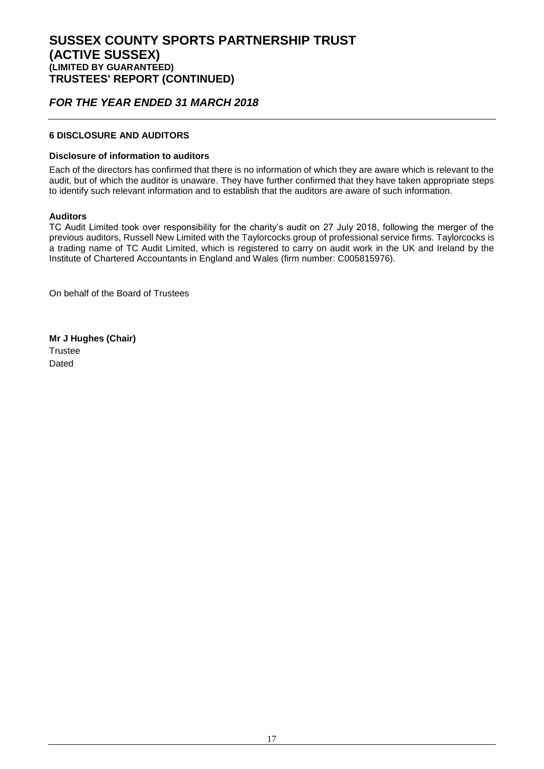### *FOR THE YEAR ENDED 31 MARCH 2018*

### **6 DISCLOSURE AND AUDITORS**

#### **Disclosure of information to auditors**

Each of the directors has confirmed that there is no information of which they are aware which is relevant to the audit, but of which the auditor is unaware. They have further confirmed that they have taken appropriate steps to identify such relevant information and to establish that the auditors are aware of such information.

### **Auditors**

TC Audit Limited took over responsibility for the charity's audit on 27 July 2018, following the merger of the previous auditors, Russell New Limited with the Taylorcocks group of professional service firms. Taylorcocks is a trading name of TC Audit Limited, which is registered to carry on audit work in the UK and Ireland by the Institute of Chartered Accountants in England and Wales (firm number: C005815976).

On behalf of the Board of Trustees

**Mr J Hughes (Chair) Trustee** Dated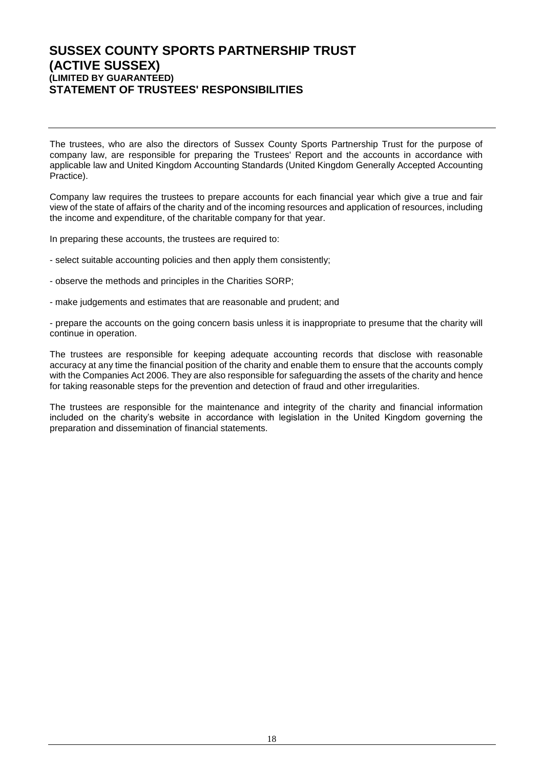### **SUSSEX COUNTY SPORTS PARTNERSHIP TRUST (ACTIVE SUSSEX) (LIMITED BY GUARANTEED) STATEMENT OF TRUSTEES' RESPONSIBILITIES**

The trustees, who are also the directors of Sussex County Sports Partnership Trust for the purpose of company law, are responsible for preparing the Trustees' Report and the accounts in accordance with applicable law and United Kingdom Accounting Standards (United Kingdom Generally Accepted Accounting Practice).

Company law requires the trustees to prepare accounts for each financial year which give a true and fair view of the state of affairs of the charity and of the incoming resources and application of resources, including the income and expenditure, of the charitable company for that year.

In preparing these accounts, the trustees are required to:

- select suitable accounting policies and then apply them consistently;

- observe the methods and principles in the Charities SORP;
- make judgements and estimates that are reasonable and prudent; and

- prepare the accounts on the going concern basis unless it is inappropriate to presume that the charity will continue in operation.

The trustees are responsible for keeping adequate accounting records that disclose with reasonable accuracy at any time the financial position of the charity and enable them to ensure that the accounts comply with the Companies Act 2006. They are also responsible for safeguarding the assets of the charity and hence for taking reasonable steps for the prevention and detection of fraud and other irregularities.

The trustees are responsible for the maintenance and integrity of the charity and financial information included on the charity's website in accordance with legislation in the United Kingdom governing the preparation and dissemination of financial statements.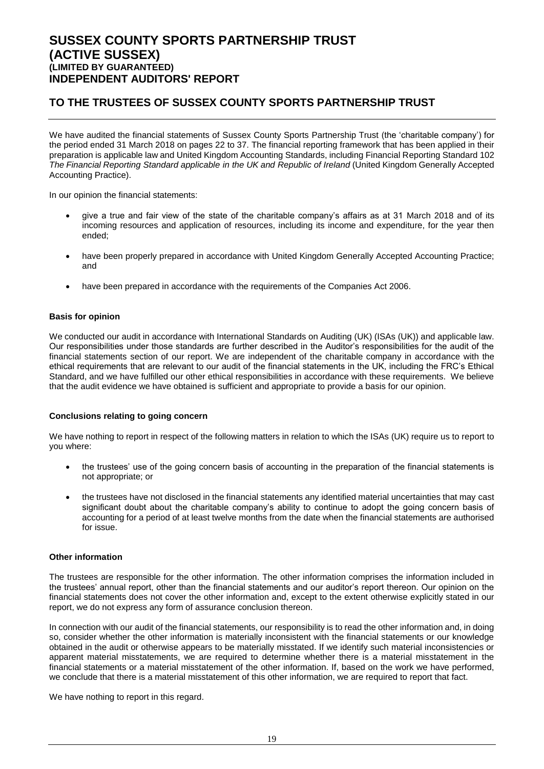### **SUSSEX COUNTY SPORTS PARTNERSHIP TRUST (ACTIVE SUSSEX) (LIMITED BY GUARANTEED) INDEPENDENT AUDITORS' REPORT**

### **TO THE TRUSTEES OF SUSSEX COUNTY SPORTS PARTNERSHIP TRUST**

We have audited the financial statements of Sussex County Sports Partnership Trust (the 'charitable company') for the period ended 31 March 2018 on pages 22 to 37. The financial reporting framework that has been applied in their preparation is applicable law and United Kingdom Accounting Standards, including Financial Reporting Standard 102 *The Financial Reporting Standard applicable in the UK and Republic of Ireland* (United Kingdom Generally Accepted Accounting Practice).

In our opinion the financial statements:

- give a true and fair view of the state of the charitable company's affairs as at 31 March 2018 and of its incoming resources and application of resources, including its income and expenditure, for the year then ended;
- have been properly prepared in accordance with United Kingdom Generally Accepted Accounting Practice; and
- have been prepared in accordance with the requirements of the Companies Act 2006.

#### **Basis for opinion**

We conducted our audit in accordance with International Standards on Auditing (UK) (ISAs (UK)) and applicable law. Our responsibilities under those standards are further described in the Auditor's responsibilities for the audit of the financial statements section of our report. We are independent of the charitable company in accordance with the ethical requirements that are relevant to our audit of the financial statements in the UK, including the FRC's Ethical Standard, and we have fulfilled our other ethical responsibilities in accordance with these requirements. We believe that the audit evidence we have obtained is sufficient and appropriate to provide a basis for our opinion.

#### **Conclusions relating to going concern**

We have nothing to report in respect of the following matters in relation to which the ISAs (UK) require us to report to you where:

- the trustees' use of the going concern basis of accounting in the preparation of the financial statements is not appropriate; or
- the trustees have not disclosed in the financial statements any identified material uncertainties that may cast significant doubt about the charitable company's ability to continue to adopt the going concern basis of accounting for a period of at least twelve months from the date when the financial statements are authorised for issue.

#### **Other information**

The trustees are responsible for the other information. The other information comprises the information included in the trustees' annual report, other than the financial statements and our auditor's report thereon. Our opinion on the financial statements does not cover the other information and, except to the extent otherwise explicitly stated in our report, we do not express any form of assurance conclusion thereon.

In connection with our audit of the financial statements, our responsibility is to read the other information and, in doing so, consider whether the other information is materially inconsistent with the financial statements or our knowledge obtained in the audit or otherwise appears to be materially misstated. If we identify such material inconsistencies or apparent material misstatements, we are required to determine whether there is a material misstatement in the financial statements or a material misstatement of the other information. If, based on the work we have performed, we conclude that there is a material misstatement of this other information, we are required to report that fact.

We have nothing to report in this regard.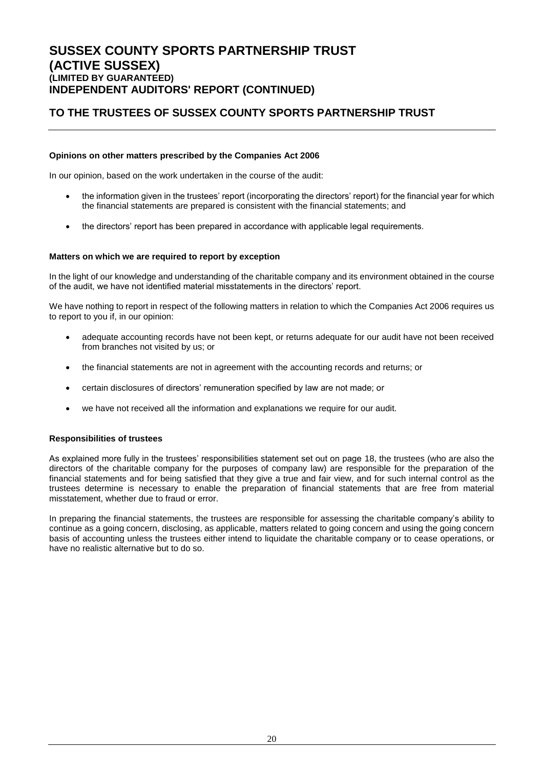### **TO THE TRUSTEES OF SUSSEX COUNTY SPORTS PARTNERSHIP TRUST**

#### **Opinions on other matters prescribed by the Companies Act 2006**

In our opinion, based on the work undertaken in the course of the audit:

- the information given in the trustees' report (incorporating the directors' report) for the financial year for which the financial statements are prepared is consistent with the financial statements; and
- the directors' report has been prepared in accordance with applicable legal requirements.

#### **Matters on which we are required to report by exception**

In the light of our knowledge and understanding of the charitable company and its environment obtained in the course of the audit, we have not identified material misstatements in the directors' report.

We have nothing to report in respect of the following matters in relation to which the Companies Act 2006 requires us to report to you if, in our opinion:

- adequate accounting records have not been kept, or returns adequate for our audit have not been received from branches not visited by us; or
- the financial statements are not in agreement with the accounting records and returns; or
- certain disclosures of directors' remuneration specified by law are not made; or
- we have not received all the information and explanations we require for our audit.

#### **Responsibilities of trustees**

As explained more fully in the trustees' responsibilities statement set out on page 18, the trustees (who are also the directors of the charitable company for the purposes of company law) are responsible for the preparation of the financial statements and for being satisfied that they give a true and fair view, and for such internal control as the trustees determine is necessary to enable the preparation of financial statements that are free from material misstatement, whether due to fraud or error.

In preparing the financial statements, the trustees are responsible for assessing the charitable company's ability to continue as a going concern, disclosing, as applicable, matters related to going concern and using the going concern basis of accounting unless the trustees either intend to liquidate the charitable company or to cease operations, or have no realistic alternative but to do so.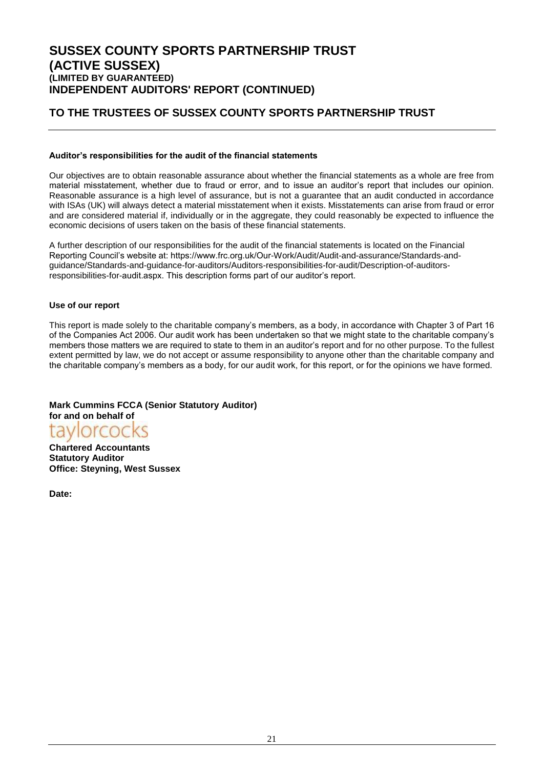### **TO THE TRUSTEES OF SUSSEX COUNTY SPORTS PARTNERSHIP TRUST**

#### **Auditor's responsibilities for the audit of the financial statements**

Our objectives are to obtain reasonable assurance about whether the financial statements as a whole are free from material misstatement, whether due to fraud or error, and to issue an auditor's report that includes our opinion. Reasonable assurance is a high level of assurance, but is not a guarantee that an audit conducted in accordance with ISAs (UK) will always detect a material misstatement when it exists. Misstatements can arise from fraud or error and are considered material if, individually or in the aggregate, they could reasonably be expected to influence the economic decisions of users taken on the basis of these financial statements.

A further description of our responsibilities for the audit of the financial statements is located on the Financial Reporting Council's website at: https://www.frc.org.uk/Our-Work/Audit/Audit-and-assurance/Standards-andguidance/Standards-and-guidance-for-auditors/Auditors-responsibilities-for-audit/Description-of-auditorsresponsibilities-for-audit.aspx. This description forms part of our auditor's report.

#### **Use of our report**

This report is made solely to the charitable company's members, as a body, in accordance with Chapter 3 of Part 16 of the Companies Act 2006. Our audit work has been undertaken so that we might state to the charitable company's members those matters we are required to state to them in an auditor's report and for no other purpose. To the fullest extent permitted by law, we do not accept or assume responsibility to anyone other than the charitable company and the charitable company's members as a body, for our audit work, for this report, or for the opinions we have formed.

### **Mark Cummins FCCA (Senior Statutory Auditor)**



**Chartered Accountants Statutory Auditor Office: Steyning, West Sussex**

**Date:**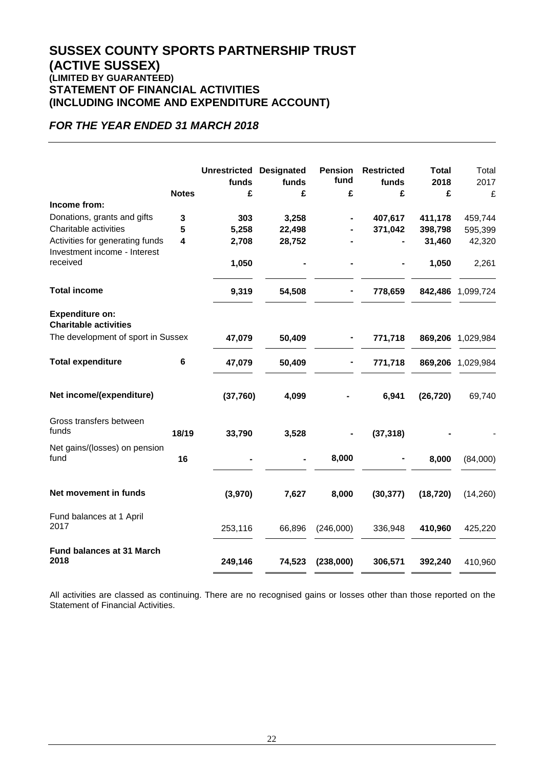### **SUSSEX COUNTY SPORTS PARTNERSHIP TRUST (ACTIVE SUSSEX) (LIMITED BY GUARANTEED) STATEMENT OF FINANCIAL ACTIVITIES (INCLUDING INCOME AND EXPENDITURE ACCOUNT)**

### *FOR THE YEAR ENDED 31 MARCH 2018*

|                                                        | <b>Notes</b> | <b>Unrestricted Designated</b><br>funds<br>£ | funds<br>£ | <b>Pension</b><br>fund<br>£ | <b>Restricted</b><br>funds<br>£ | <b>Total</b><br>2018<br>£ | Total<br>2017<br>£ |
|--------------------------------------------------------|--------------|----------------------------------------------|------------|-----------------------------|---------------------------------|---------------------------|--------------------|
| Income from:                                           |              |                                              |            |                             |                                 |                           |                    |
| Donations, grants and gifts                            | 3            | 303                                          | 3,258      |                             | 407,617                         | 411,178                   | 459,744            |
| Charitable activities                                  | 5            | 5,258                                        | 22,498     |                             | 371,042                         | 398,798                   | 595,399            |
| Activities for generating funds                        | 4            | 2,708                                        | 28,752     |                             |                                 | 31,460                    | 42,320             |
| Investment income - Interest                           |              |                                              |            |                             |                                 |                           |                    |
| received                                               |              | 1,050                                        |            |                             |                                 | 1,050                     | 2,261              |
| <b>Total income</b>                                    |              | 9,319                                        | 54,508     |                             | 778,659                         | 842,486                   | 1,099,724          |
| <b>Expenditure on:</b><br><b>Charitable activities</b> |              |                                              |            |                             |                                 |                           |                    |
| The development of sport in Sussex                     |              | 47,079                                       | 50,409     |                             | 771,718                         | 869,206                   | 1,029,984          |
| <b>Total expenditure</b>                               | 6            | 47,079                                       | 50,409     |                             | 771,718                         | 869,206                   | 1,029,984          |
| Net income/(expenditure)                               |              | (37,760)                                     | 4,099      |                             | 6,941                           | (26, 720)                 | 69,740             |
| Gross transfers between<br>funds                       | 18/19        | 33,790                                       | 3,528      |                             | (37, 318)                       |                           |                    |
|                                                        |              |                                              |            |                             |                                 |                           |                    |
| Net gains/(losses) on pension<br>fund                  | 16           |                                              |            | 8,000                       |                                 | 8,000                     | (84,000)           |
|                                                        |              |                                              |            |                             |                                 |                           |                    |
| Net movement in funds                                  |              | (3,970)                                      | 7,627      | 8,000                       | (30, 377)                       | (18, 720)                 | (14,260)           |
| Fund balances at 1 April                               |              |                                              |            |                             |                                 |                           |                    |
| 2017                                                   |              | 253,116                                      | 66,896     | (246,000)                   | 336,948                         | 410,960                   | 425,220            |
| <b>Fund balances at 31 March</b>                       |              |                                              |            |                             |                                 |                           |                    |
| 2018                                                   |              | 249,146                                      | 74,523     | (238,000)                   | 306,571                         | 392,240                   | 410,960            |

All activities are classed as continuing. There are no recognised gains or losses other than those reported on the Statement of Financial Activities.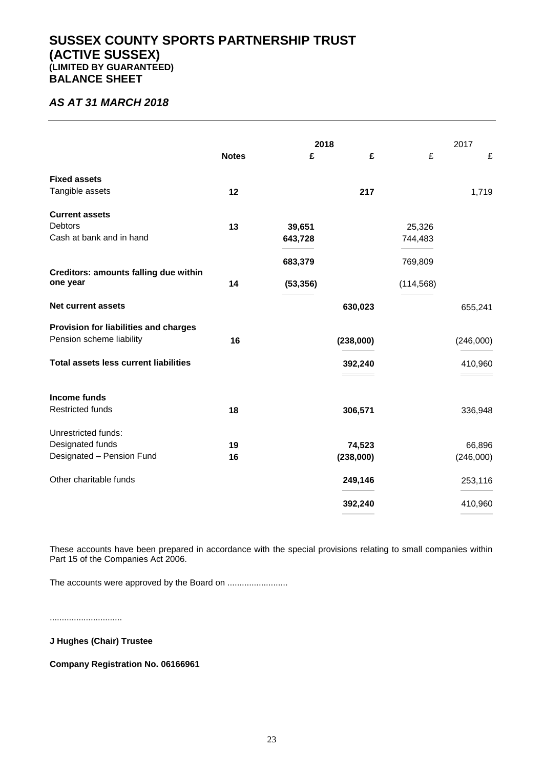### **SUSSEX COUNTY SPORTS PARTNERSHIP TRUST (ACTIVE SUSSEX) (LIMITED BY GUARANTEED) BALANCE SHEET**

### *AS AT 31 MARCH 2018*

|                                                   |              | 2018      |                             |            | 2017      |
|---------------------------------------------------|--------------|-----------|-----------------------------|------------|-----------|
|                                                   | <b>Notes</b> | £         | £                           | £          | £         |
| <b>Fixed assets</b>                               |              |           |                             |            |           |
| Tangible assets                                   | 12           |           | 217                         |            | 1,719     |
| <b>Current assets</b>                             |              |           |                             |            |           |
| <b>Debtors</b>                                    | 13           | 39,651    |                             | 25,326     |           |
| Cash at bank and in hand                          |              | 643,728   |                             | 744,483    |           |
|                                                   |              | 683,379   |                             | 769,809    |           |
| Creditors: amounts falling due within<br>one year | 14           | (53, 356) |                             | (114, 568) |           |
| <b>Net current assets</b>                         |              |           | 630,023                     |            | 655,241   |
| Provision for liabilities and charges             |              |           |                             |            |           |
| Pension scheme liability                          | 16           |           | (238,000)                   |            | (246,000) |
| <b>Total assets less current liabilities</b>      |              |           | 392,240                     |            | 410,960   |
| <b>Income funds</b>                               |              |           |                             |            |           |
| <b>Restricted funds</b>                           | 18           |           | 306,571                     |            | 336,948   |
| Unrestricted funds:                               |              |           |                             |            |           |
| Designated funds                                  | 19           |           | 74,523                      |            | 66,896    |
| Designated - Pension Fund                         | 16           |           | (238,000)                   |            | (246,000) |
| Other charitable funds                            |              |           | 249,146                     |            | 253,116   |
|                                                   |              |           | 392,240                     |            | 410,960   |
|                                                   |              |           | $\sim$ $\sim$ $\sim$ $\sim$ |            |           |

These accounts have been prepared in accordance with the special provisions relating to small companies within Part 15 of the Companies Act 2006.

The accounts were approved by the Board on .........................

..............................

**J Hughes (Chair) Trustee**

**Company Registration No. 06166961**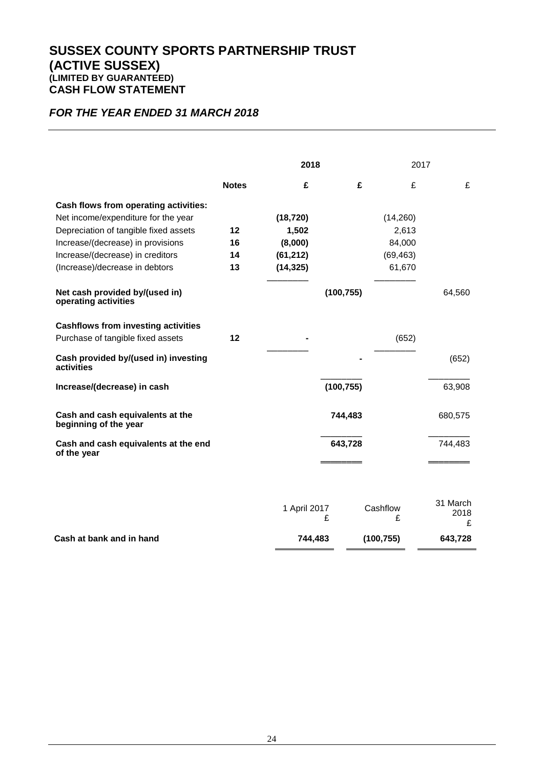### **SUSSEX COUNTY SPORTS PARTNERSHIP TRUST (ACTIVE SUSSEX) (LIMITED BY GUARANTEED) CASH FLOW STATEMENT**

### *FOR THE YEAR ENDED 31 MARCH 2018*

|                                                           |              | 2018         |            | 2017          |                       |
|-----------------------------------------------------------|--------------|--------------|------------|---------------|-----------------------|
|                                                           | <b>Notes</b> | £            | £          | £             | £                     |
| Cash flows from operating activities:                     |              |              |            |               |                       |
| Net income/expenditure for the year                       |              | (18, 720)    |            | (14,260)      |                       |
| Depreciation of tangible fixed assets                     | 12           | 1,502        |            | 2,613         |                       |
| Increase/(decrease) in provisions                         | 16           | (8,000)      |            | 84,000        |                       |
| Increase/(decrease) in creditors                          | 14           | (61, 212)    |            | (69, 463)     |                       |
| (Increase)/decrease in debtors                            | 13           | (14, 325)    |            | 61,670        |                       |
| Net cash provided by/(used in)<br>operating activities    |              |              | (100, 755) |               | 64,560                |
| <b>Cashflows from investing activities</b>                |              |              |            |               |                       |
| Purchase of tangible fixed assets                         | $12 \,$      |              |            | (652)         |                       |
| Cash provided by/(used in) investing<br>activities        |              |              |            |               | (652)                 |
| Increase/(decrease) in cash                               |              |              | (100, 755) |               | 63,908                |
| Cash and cash equivalents at the<br>beginning of the year |              |              | 744,483    |               | 680,575               |
| Cash and cash equivalents at the end<br>of the year       |              |              | 643,728    |               | 744,483               |
|                                                           |              |              |            |               |                       |
|                                                           |              | 1 April 2017 | £          | Cashflow<br>£ | 31 March<br>2018<br>£ |
| Cash at bank and in hand                                  |              | 744,483      |            | (100, 755)    | 643,728               |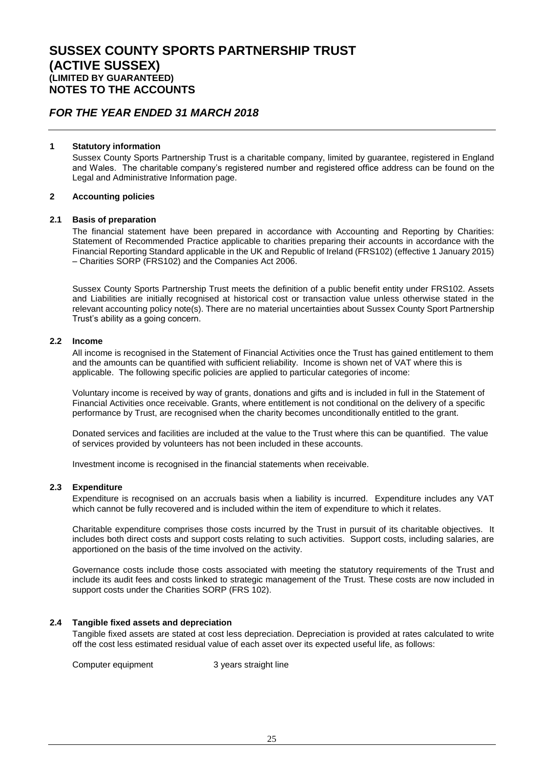### *FOR THE YEAR ENDED 31 MARCH 2018*

#### **1 Statutory information**

Sussex County Sports Partnership Trust is a charitable company, limited by guarantee, registered in England and Wales. The charitable company's registered number and registered office address can be found on the Legal and Administrative Information page.

#### **2 Accounting policies**

#### **2.1 Basis of preparation**

The financial statement have been prepared in accordance with Accounting and Reporting by Charities: Statement of Recommended Practice applicable to charities preparing their accounts in accordance with the Financial Reporting Standard applicable in the UK and Republic of Ireland (FRS102) (effective 1 January 2015) – Charities SORP (FRS102) and the Companies Act 2006.

Sussex County Sports Partnership Trust meets the definition of a public benefit entity under FRS102. Assets and Liabilities are initially recognised at historical cost or transaction value unless otherwise stated in the relevant accounting policy note(s). There are no material uncertainties about Sussex County Sport Partnership Trust's ability as a going concern.

#### **2.2 Income**

All income is recognised in the Statement of Financial Activities once the Trust has gained entitlement to them and the amounts can be quantified with sufficient reliability. Income is shown net of VAT where this is applicable. The following specific policies are applied to particular categories of income:

Voluntary income is received by way of grants, donations and gifts and is included in full in the Statement of Financial Activities once receivable. Grants, where entitlement is not conditional on the delivery of a specific performance by Trust, are recognised when the charity becomes unconditionally entitled to the grant.

Donated services and facilities are included at the value to the Trust where this can be quantified. The value of services provided by volunteers has not been included in these accounts.

Investment income is recognised in the financial statements when receivable.

#### **2.3 Expenditure**

Expenditure is recognised on an accruals basis when a liability is incurred. Expenditure includes any VAT which cannot be fully recovered and is included within the item of expenditure to which it relates.

Charitable expenditure comprises those costs incurred by the Trust in pursuit of its charitable objectives. It includes both direct costs and support costs relating to such activities. Support costs, including salaries, are apportioned on the basis of the time involved on the activity.

Governance costs include those costs associated with meeting the statutory requirements of the Trust and include its audit fees and costs linked to strategic management of the Trust. These costs are now included in support costs under the Charities SORP (FRS 102).

#### **2.4 Tangible fixed assets and depreciation**

Tangible fixed assets are stated at cost less depreciation. Depreciation is provided at rates calculated to write off the cost less estimated residual value of each asset over its expected useful life, as follows:

Computer equipment 3 years straight line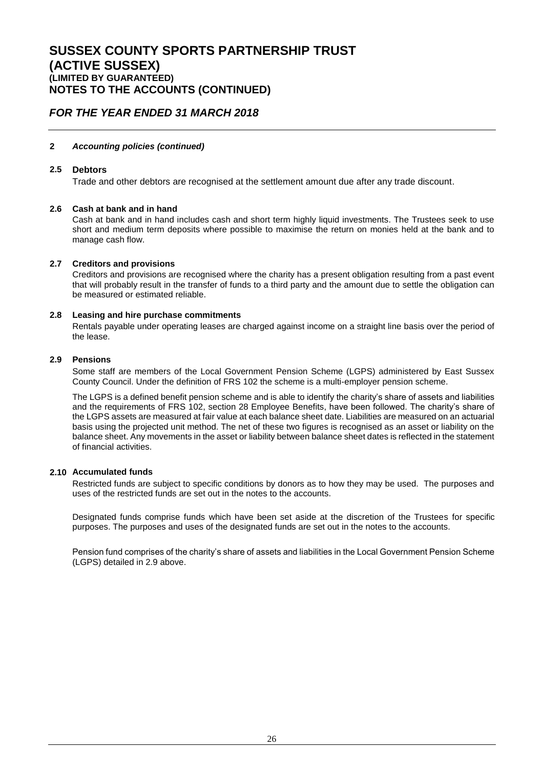### *FOR THE YEAR ENDED 31 MARCH 2018*

#### **2** *Accounting policies (continued)*

#### **2.5 Debtors**

Trade and other debtors are recognised at the settlement amount due after any trade discount.

#### **2.6 Cash at bank and in hand**

Cash at bank and in hand includes cash and short term highly liquid investments. The Trustees seek to use short and medium term deposits where possible to maximise the return on monies held at the bank and to manage cash flow.

#### **2.7 Creditors and provisions**

Creditors and provisions are recognised where the charity has a present obligation resulting from a past event that will probably result in the transfer of funds to a third party and the amount due to settle the obligation can be measured or estimated reliable.

#### **2.8 Leasing and hire purchase commitments**

Rentals payable under operating leases are charged against income on a straight line basis over the period of the lease.

#### **2.9 Pensions**

Some staff are members of the Local Government Pension Scheme (LGPS) administered by East Sussex County Council. Under the definition of FRS 102 the scheme is a multi-employer pension scheme.

The LGPS is a defined benefit pension scheme and is able to identify the charity's share of assets and liabilities and the requirements of FRS 102, section 28 Employee Benefits, have been followed. The charity's share of the LGPS assets are measured at fair value at each balance sheet date. Liabilities are measured on an actuarial basis using the projected unit method. The net of these two figures is recognised as an asset or liability on the balance sheet. Any movements in the asset or liability between balance sheet dates is reflected in the statement of financial activities.

#### **2.10 Accumulated funds**

Restricted funds are subject to specific conditions by donors as to how they may be used. The purposes and uses of the restricted funds are set out in the notes to the accounts.

Designated funds comprise funds which have been set aside at the discretion of the Trustees for specific purposes. The purposes and uses of the designated funds are set out in the notes to the accounts.

Pension fund comprises of the charity's share of assets and liabilities in the Local Government Pension Scheme (LGPS) detailed in 2.9 above.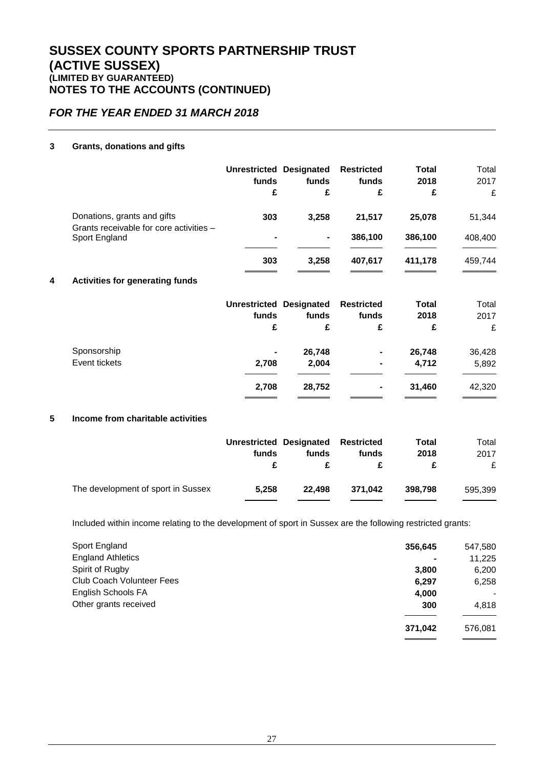### *FOR THE YEAR ENDED 31 MARCH 2018*

### **3 Grants, donations and gifts**

|                                                                                         | <b>Unrestricted Designated</b><br>funds<br>£ | funds<br>£ | <b>Restricted</b><br>funds<br>£ | Total<br>2018<br>£ | Total<br>2017<br>£ |
|-----------------------------------------------------------------------------------------|----------------------------------------------|------------|---------------------------------|--------------------|--------------------|
| Donations, grants and gifts<br>Grants receivable for core activities -<br>Sport England | 303                                          | 3,258      | 21,517                          | 25,078             | 51,344             |
|                                                                                         |                                              | ۰.         | 386,100                         | 386,100            | 408,400            |
|                                                                                         | 303                                          | 3.258      | 407.617                         | 411.178            | 459.744            |

### **4 Activities for generating funds**

|               | Unrestricted Designated Restricted<br>funds | funds  | funds          | <b>Total</b><br>2018 | Total<br>2017 |
|---------------|---------------------------------------------|--------|----------------|----------------------|---------------|
|               | £                                           | £      | £              | £                    | £             |
| Sponsorship   | ۰                                           | 26,748 | ۰              | 26,748               | 36,428        |
| Event tickets | 2,708                                       | 2,004  | $\blacksquare$ | 4,712                | 5,892         |
|               | 2,708                                       | 28,752 | ۰              | 31.460               | 42,320        |

#### **5 Income from charitable activities**

|                                    | Unrestricted Designated Restricted<br>funds | funds  | funds   | Total<br>2018 | Total<br>2017<br>£ |
|------------------------------------|---------------------------------------------|--------|---------|---------------|--------------------|
| The development of sport in Sussex | 5.258                                       | 22.498 | 371.042 | 398,798       | 595.399            |

Included within income relating to the development of sport in Sussex are the following restricted grants:

| Sport England                    | 356,645 | 547,580         |
|----------------------------------|---------|-----------------|
| <b>England Athletics</b>         |         | 11,225          |
| Spirit of Rugby                  | 3,800   | 6,200           |
| <b>Club Coach Volunteer Fees</b> | 6,297   | 6,258           |
| English Schools FA               | 4,000   | $\qquad \qquad$ |
| Other grants received            | 300     | 4.818           |
|                                  | 371,042 | 576,081         |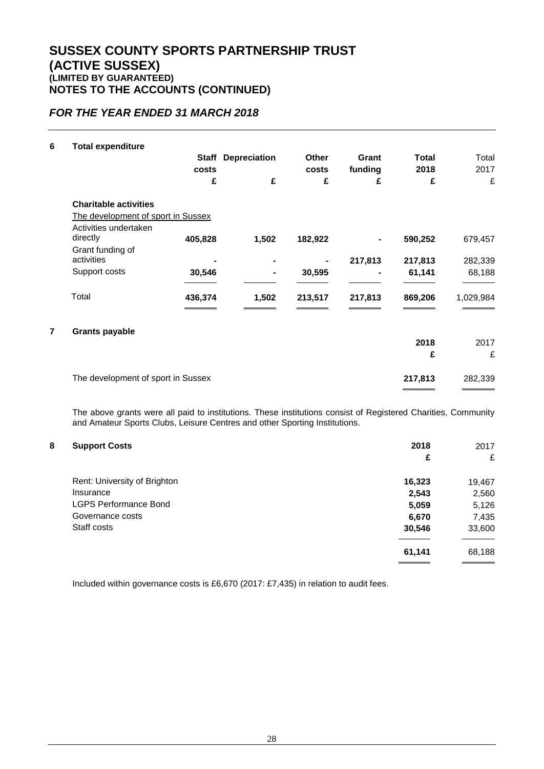### *FOR THE YEAR ENDED 31 MARCH 2018*

| <b>Total expenditure</b>          |              |                                                                          |              |         |              |           |
|-----------------------------------|--------------|--------------------------------------------------------------------------|--------------|---------|--------------|-----------|
|                                   | <b>Staff</b> | <b>Depreciation</b>                                                      | <b>Other</b> | Grant   | <b>Total</b> | Total     |
|                                   | costs        |                                                                          | costs        | funding | 2018         | 2017      |
|                                   | £            | £                                                                        | £            | £       | £            | £         |
| <b>Charitable activities</b>      |              |                                                                          |              |         |              |           |
|                                   |              |                                                                          |              |         |              |           |
| Activities undertaken<br>directly | 405,828      | 1,502                                                                    | 182,922      |         | 590,252      | 679,457   |
| Grant funding of<br>activities    |              |                                                                          |              |         |              | 282,339   |
| Support costs                     | 30,546       |                                                                          | 30,595       |         | 61,141       | 68,188    |
| Total                             | 436,374      | 1,502                                                                    | 213,517      | 217,813 | 869,206      | 1,029,984 |
| <b>Grants payable</b>             |              |                                                                          |              |         |              |           |
|                                   |              |                                                                          |              |         | 2018         | 2017      |
|                                   |              |                                                                          |              |         | £            | £         |
|                                   |              |                                                                          |              |         | 217,813      | 282,339   |
|                                   |              | The development of sport in Sussex<br>The development of sport in Sussex |              |         | 217,813      | 217,813   |

The above grants were all paid to institutions. These institutions consist of Registered Charities, Community and Amateur Sports Clubs, Leisure Centres and other Sporting Institutions.

### **8 Support Costs 2018** 2017

| . .                          | £      | £      |
|------------------------------|--------|--------|
| Rent: University of Brighton | 16,323 | 19,467 |
| Insurance                    | 2,543  | 2,560  |
| <b>LGPS Performance Bond</b> | 5,059  | 5,126  |
| Governance costs             | 6,670  | 7,435  |
| Staff costs                  | 30,546 | 33,600 |
|                              | 61,141 | 68,188 |

Included within governance costs is £6,670 (2017: £7,435) in relation to audit fees.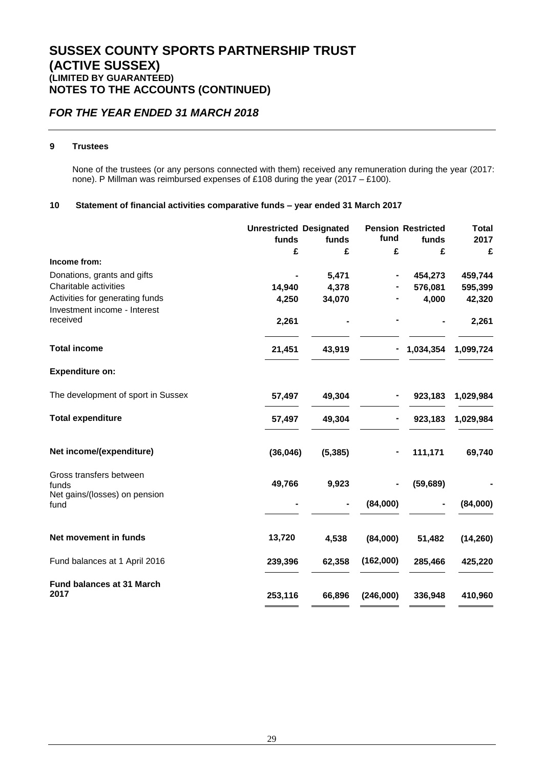### *FOR THE YEAR ENDED 31 MARCH 2018*

### **9 Trustees**

None of the trustees (or any persons connected with them) received any remuneration during the year (2017: none). P Millman was reimbursed expenses of £108 during the year (2017 – £100).

### **10 Statement of financial activities comparative funds – year ended 31 March 2017**

|                                          | <b>Unrestricted Designated</b> |          |           | <b>Pension Restricted</b> | <b>Total</b> |
|------------------------------------------|--------------------------------|----------|-----------|---------------------------|--------------|
|                                          | funds                          | funds    | fund      | funds                     | 2017         |
|                                          | £                              | £        | £         | £                         | £            |
| Income from:                             |                                |          |           |                           |              |
| Donations, grants and gifts              |                                | 5,471    |           | 454,273                   | 459,744      |
| Charitable activities                    | 14,940                         | 4,378    |           | 576,081                   | 595,399      |
| Activities for generating funds          | 4,250                          | 34,070   |           | 4,000                     | 42,320       |
| Investment income - Interest             |                                |          |           |                           |              |
| received                                 | 2,261                          |          |           |                           | 2,261        |
| <b>Total income</b>                      | 21,451                         | 43,919   |           | 1,034,354                 | 1,099,724    |
| <b>Expenditure on:</b>                   |                                |          |           |                           |              |
| The development of sport in Sussex       | 57,497                         | 49,304   |           | 923,183                   | 1,029,984    |
| <b>Total expenditure</b>                 | 57,497                         | 49,304   |           | 923,183                   | 1,029,984    |
| Net income/(expenditure)                 | (36,046)                       | (5, 385) |           | 111,171                   | 69,740       |
| Gross transfers between                  |                                |          |           |                           |              |
| funds                                    | 49,766                         | 9,923    |           | (59, 689)                 |              |
| Net gains/(losses) on pension<br>fund    |                                |          | (84,000)  |                           | (84,000)     |
| Net movement in funds                    | 13,720                         | 4,538    | (84,000)  | 51,482                    | (14, 260)    |
| Fund balances at 1 April 2016            | 239,396                        | 62,358   | (162,000) | 285,466                   | 425,220      |
| <b>Fund balances at 31 March</b><br>2017 | 253,116                        | 66,896   | (246,000) | 336,948                   | 410,960      |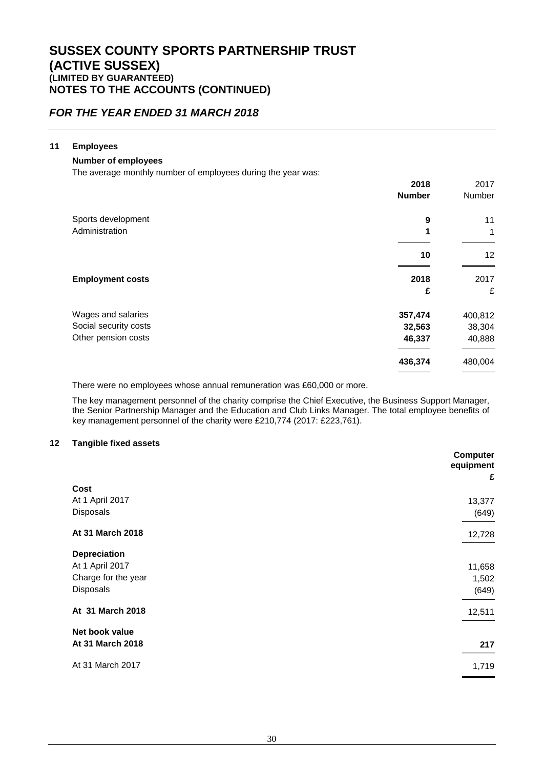### *FOR THE YEAR ENDED 31 MARCH 2018*

### **11 Employees**

#### **Number of employees**

The average monthly number of employees during the year was:

|                         | 2018          | 2017    |
|-------------------------|---------------|---------|
|                         | <b>Number</b> | Number  |
| Sports development      | 9             | 11      |
| Administration          | 1             | 1       |
|                         | 10            | 12      |
| <b>Employment costs</b> | 2018          | 2017    |
|                         | £             | £       |
| Wages and salaries      | 357,474       | 400,812 |
| Social security costs   | 32,563        | 38,304  |
| Other pension costs     | 46,337        | 40,888  |
|                         | 436,374       | 480,004 |
|                         |               |         |

There were no employees whose annual remuneration was £60,000 or more.

The key management personnel of the charity comprise the Chief Executive, the Business Support Manager, the Senior Partnership Manager and the Education and Club Links Manager. The total employee benefits of key management personnel of the charity were £210,774 (2017: £223,761).

#### **12 Tangible fixed assets**

|                     | <b>Computer</b><br>equipment<br>£ |
|---------------------|-----------------------------------|
| Cost                |                                   |
| At 1 April 2017     | 13,377                            |
| Disposals           | (649)                             |
| At 31 March 2018    | 12,728                            |
| Depreciation        |                                   |
| At 1 April 2017     | 11,658                            |
| Charge for the year | 1,502                             |
| Disposals           | (649)                             |
| At 31 March 2018    | 12,511                            |
| Net book value      |                                   |
| At 31 March 2018    | 217                               |
| At 31 March 2017    | 1,719                             |
|                     |                                   |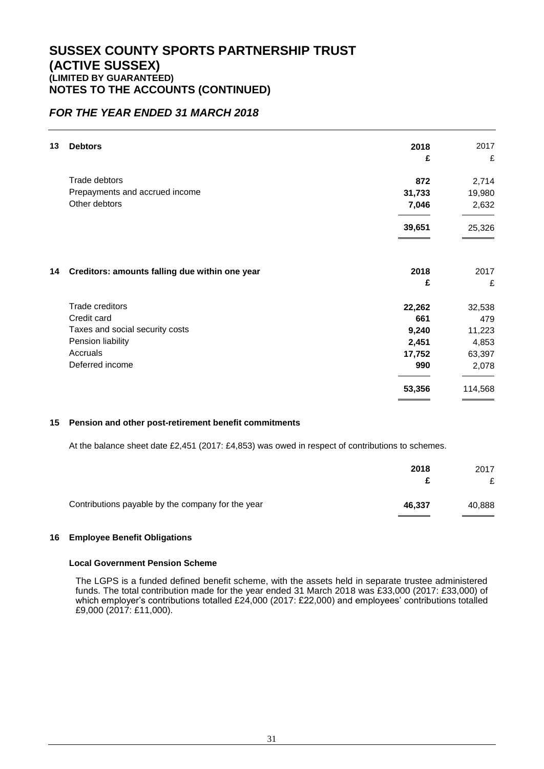### *FOR THE YEAR ENDED 31 MARCH 2018*

| 13 | <b>Debtors</b>                                 | 2018      | 2017      |
|----|------------------------------------------------|-----------|-----------|
|    |                                                | £         | £         |
|    | <b>Trade debtors</b>                           | 872       | 2,714     |
|    | Prepayments and accrued income                 | 31,733    | 19,980    |
|    | Other debtors                                  | 7,046     | 2,632     |
|    |                                                | 39,651    | 25,326    |
| 14 | Creditors: amounts falling due within one year | 2018<br>£ | 2017<br>£ |
|    | Trade creditors                                | 22,262    | 32,538    |
|    | Credit card                                    | 661       | 479       |
|    | Taxes and social security costs                | 9,240     | 11,223    |
|    | Pension liability                              | 2,451     | 4,853     |
|    | Accruals                                       | 17,752    | 63,397    |
|    | Deferred income                                | 990       | 2,078     |
|    |                                                | 53,356    | 114,568   |

#### **15 Pension and other post-retirement benefit commitments**

At the balance sheet date £2,451 (2017: £4,853) was owed in respect of contributions to schemes.

|                                                   | 2018   | 2017   |
|---------------------------------------------------|--------|--------|
|                                                   |        | £      |
| Contributions payable by the company for the year | 46,337 | 40,888 |

### **16 Employee Benefit Obligations**

#### **Local Government Pension Scheme**

The LGPS is a funded defined benefit scheme, with the assets held in separate trustee administered funds. The total contribution made for the year ended 31 March 2018 was £33,000 (2017: £33,000) of which employer's contributions totalled £24,000 (2017: £22,000) and employees' contributions totalled £9,000 (2017: £11,000).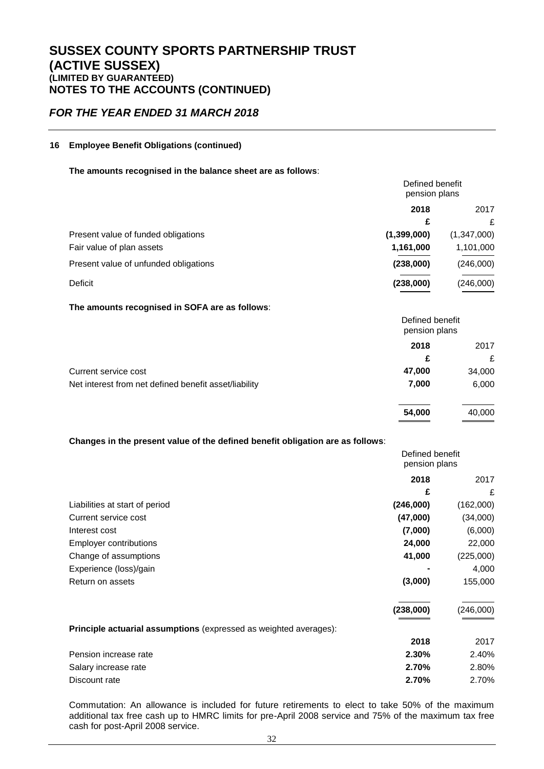### *FOR THE YEAR ENDED 31 MARCH 2018*

### **16 Employee Benefit Obligations (continued)**

#### **The amounts recognised in the balance sheet are as follows**:

|                                       | Defined benefit<br>pension plans |             |  |
|---------------------------------------|----------------------------------|-------------|--|
|                                       | 2018                             | 2017        |  |
|                                       | £                                | £           |  |
| Present value of funded obligations   | (1, 399, 000)                    | (1,347,000) |  |
| Fair value of plan assets             | 1,161,000                        | 1,101,000   |  |
| Present value of unfunded obligations | (238,000)                        | (246,000)   |  |
| Deficit                               | (238,000)                        | (246,000)   |  |

#### **The amounts recognised in SOFA are as follows**:

|                                                       | Defined benefit<br>pension plans |        |
|-------------------------------------------------------|----------------------------------|--------|
|                                                       | 2018                             | 2017   |
|                                                       | £                                | £      |
| Current service cost                                  | 47,000                           | 34,000 |
| Net interest from net defined benefit asset/liability | 7,000                            | 6,000  |
|                                                       | 54,000                           | 40,000 |

#### **Changes in the present value of the defined benefit obligation are as follows**:

|                                                                   | Defined benefit<br>pension plans |           |
|-------------------------------------------------------------------|----------------------------------|-----------|
|                                                                   | 2018                             | 2017      |
|                                                                   | £                                | £         |
| Liabilities at start of period                                    | (246,000)                        | (162,000) |
| Current service cost                                              | (47,000)                         | (34,000)  |
| Interest cost                                                     | (7,000)                          | (6,000)   |
| <b>Employer contributions</b>                                     | 24,000                           | 22,000    |
| Change of assumptions                                             | 41,000                           | (225,000) |
| Experience (loss)/gain                                            |                                  | 4,000     |
| Return on assets                                                  | (3,000)                          | 155,000   |
|                                                                   | (238,000)                        | (246,000) |
| Principle actuarial assumptions (expressed as weighted averages): |                                  |           |
|                                                                   | 2018                             | 2017      |
| Pension increase rate                                             | 2.30%                            | 2.40%     |
| Salary increase rate                                              | 2.70%                            | 2.80%     |
| Discount rate                                                     | 2.70%                            | 2.70%     |

Commutation: An allowance is included for future retirements to elect to take 50% of the maximum additional tax free cash up to HMRC limits for pre-April 2008 service and 75% of the maximum tax free cash for post-April 2008 service.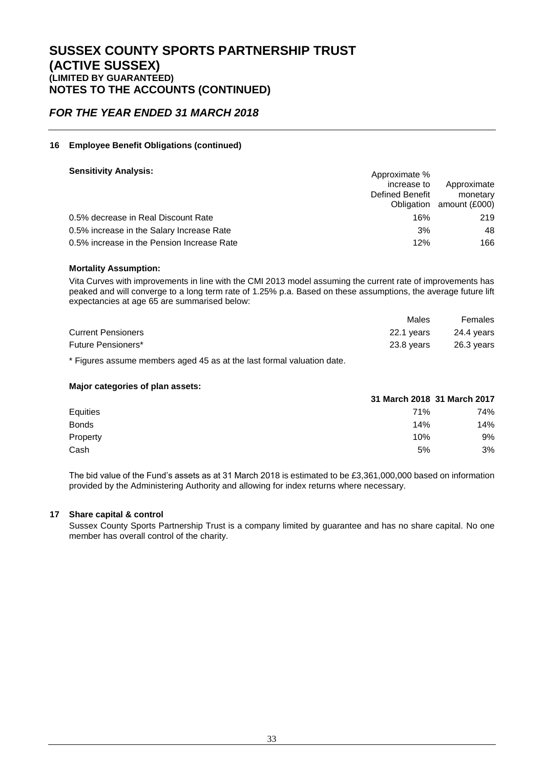### *FOR THE YEAR ENDED 31 MARCH 2018*

#### **16 Employee Benefit Obligations (continued)**

#### **Sensitivity Analysis:** Approximate  $\alpha$

| _______________________                    | Approximate %   |                          |
|--------------------------------------------|-----------------|--------------------------|
|                                            | increase to     | Approximate              |
|                                            | Defined Benefit | monetary                 |
|                                            |                 | Obligation amount (£000) |
| 0.5% decrease in Real Discount Rate        | 16%             | 219                      |
| 0.5% increase in the Salary Increase Rate  | 3%              | 48                       |
| 0.5% increase in the Pension Increase Rate | 12%             | 166                      |
|                                            |                 |                          |

#### **Mortality Assumption:**

Vita Curves with improvements in line with the CMI 2013 model assuming the current rate of improvements has peaked and will converge to a long term rate of 1.25% p.a. Based on these assumptions, the average future lift expectancies at age 65 are summarised below:

|                           | Males      | Females    |
|---------------------------|------------|------------|
| <b>Current Pensioners</b> | 22.1 years | 24.4 years |
| Future Pensioners*        | 23.8 vears | 26.3 years |

\* Figures assume members aged 45 as at the last formal valuation date.

#### **Major categories of plan assets:**

|                 | 31 March 2018 31 March 2017 |     |
|-----------------|-----------------------------|-----|
| <b>Equities</b> | 71%                         | 74% |
| <b>Bonds</b>    | 14%                         | 14% |
| Property        | 10%                         | 9%  |
| Cash            | 5%                          | 3%  |

The bid value of the Fund's assets as at 31 March 2018 is estimated to be £3,361,000,000 based on information provided by the Administering Authority and allowing for index returns where necessary.

#### **17 Share capital & control**

Sussex County Sports Partnership Trust is a company limited by guarantee and has no share capital. No one member has overall control of the charity.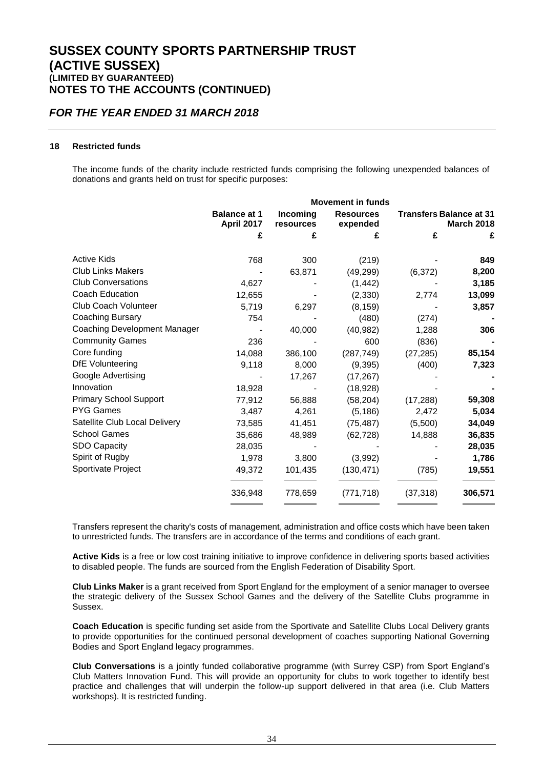### *FOR THE YEAR ENDED 31 MARCH 2018*

#### **18 Restricted funds**

The income funds of the charity include restricted funds comprising the following unexpended balances of donations and grants held on trust for specific purposes:

| <b>Movement in funds</b>                 |                       |                              |                                |                   |  |
|------------------------------------------|-----------------------|------------------------------|--------------------------------|-------------------|--|
| <b>Balance at 1</b><br><b>April 2017</b> | Incoming<br>resources | <b>Resources</b><br>expended | <b>Transfers Balance at 31</b> | <b>March 2018</b> |  |
| £                                        | £                     |                              | £                              | £                 |  |
| 768                                      | 300                   | (219)                        |                                | 849               |  |
|                                          | 63,871                | (49, 299)                    | (6, 372)                       | 8,200             |  |
| 4,627                                    |                       | (1, 442)                     |                                | 3,185             |  |
| 12,655                                   |                       | (2,330)                      | 2,774                          | 13,099            |  |
| 5,719                                    | 6,297                 | (8, 159)                     |                                | 3,857             |  |
| 754                                      |                       | (480)                        | (274)                          |                   |  |
|                                          | 40,000                | (40, 982)                    | 1,288                          | 306               |  |
| 236                                      |                       | 600                          | (836)                          |                   |  |
| 14,088                                   | 386,100               | (287, 749)                   | (27, 285)                      | 85,154            |  |
| 9,118                                    | 8,000                 | (9,395)                      | (400)                          | 7,323             |  |
|                                          | 17,267                | (17, 267)                    |                                |                   |  |
| 18,928                                   |                       | (18, 928)                    |                                |                   |  |
| 77,912                                   | 56,888                | (58, 204)                    | (17, 288)                      | 59,308            |  |
| 3,487                                    | 4,261                 | (5, 186)                     | 2,472                          | 5,034             |  |
| 73,585                                   | 41,451                | (75, 487)                    | (5,500)                        | 34,049            |  |
| 35,686                                   | 48,989                | (62, 728)                    | 14,888                         | 36,835            |  |
| 28,035                                   |                       |                              |                                | 28,035            |  |
| 1,978                                    | 3,800                 | (3,992)                      |                                | 1,786             |  |
| 49,372                                   | 101,435               | (130, 471)                   | (785)                          | 19,551            |  |
| 336,948                                  | 778,659               | (771, 718)                   | (37, 318)                      | 306,571           |  |
|                                          |                       |                              |                                |                   |  |

Transfers represent the charity's costs of management, administration and office costs which have been taken to unrestricted funds. The transfers are in accordance of the terms and conditions of each grant.

**Active Kids** is a free or low cost training initiative to improve confidence in delivering sports based activities to disabled people. The funds are sourced from the English Federation of Disability Sport.

**Club Links Maker** is a grant received from Sport England for the employment of a senior manager to oversee the strategic delivery of the Sussex School Games and the delivery of the Satellite Clubs programme in Sussex.

**Coach Education** is specific funding set aside from the Sportivate and Satellite Clubs Local Delivery grants to provide opportunities for the continued personal development of coaches supporting National Governing Bodies and Sport England legacy programmes.

**Club Conversations** is a jointly funded collaborative programme (with Surrey CSP) from Sport England's Club Matters Innovation Fund. This will provide an opportunity for clubs to work together to identify best practice and challenges that will underpin the follow-up support delivered in that area (i.e. Club Matters workshops). It is restricted funding.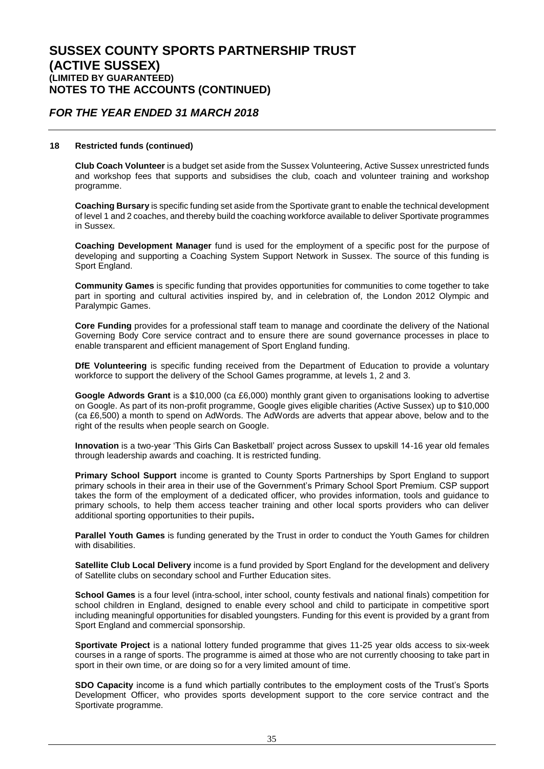### *FOR THE YEAR ENDED 31 MARCH 2018*

#### **18 Restricted funds (continued)**

**Club Coach Volunteer** is a budget set aside from the Sussex Volunteering, Active Sussex unrestricted funds and workshop fees that supports and subsidises the club, coach and volunteer training and workshop programme.

**Coaching Bursary** is specific funding set aside from the Sportivate grant to enable the technical development of level 1 and 2 coaches, and thereby build the coaching workforce available to deliver Sportivate programmes in Sussex.

**Coaching Development Manager** fund is used for the employment of a specific post for the purpose of developing and supporting a Coaching System Support Network in Sussex. The source of this funding is Sport England.

**Community Games** is specific funding that provides opportunities for communities to come together to take part in sporting and cultural activities inspired by, and in celebration of, the London 2012 Olympic and Paralympic Games.

**Core Funding** provides for a professional staff team to manage and coordinate the delivery of the National Governing Body Core service contract and to ensure there are sound governance processes in place to enable transparent and efficient management of Sport England funding.

**DfE Volunteering** is specific funding received from the Department of Education to provide a voluntary workforce to support the delivery of the School Games programme, at levels 1, 2 and 3.

**Google Adwords Grant** is a \$10,000 (ca £6,000) monthly grant given to organisations looking to advertise on Google. As part of its non-profit programme, Google gives eligible charities (Active Sussex) up to \$10,000 (ca £6,500) a month to spend on AdWords. The AdWords are adverts that appear above, below and to the right of the results when people search on Google.

**Innovation** is a two-year 'This Girls Can Basketball' project across Sussex to upskill 14-16 year old females through leadership awards and coaching. It is restricted funding.

**Primary School Support** income is granted to County Sports Partnerships by Sport England to support primary schools in their area in their use of the Government's Primary School Sport Premium. CSP support takes the form of the employment of a dedicated officer, who provides information, tools and guidance to primary schools, to help them access teacher training and other local sports providers who can deliver additional sporting opportunities to their pupils**.**

**Parallel Youth Games** is funding generated by the Trust in order to conduct the Youth Games for children with disabilities.

**Satellite Club Local Delivery** income is a fund provided by Sport England for the development and delivery of Satellite clubs on secondary school and Further Education sites.

**School Games** is a four level (intra-school, inter school, county festivals and national finals) competition for school children in England, designed to enable every school and child to participate in competitive sport including meaningful opportunities for disabled youngsters. Funding for this event is provided by a grant from Sport England and commercial sponsorship.

**Sportivate Project** is a national lottery funded programme that gives 11-25 year olds access to six-week courses in a range of sports. The programme is aimed at those who are not currently choosing to take part in sport in their own time, or are doing so for a very limited amount of time.

**SDO Capacity** income is a fund which partially contributes to the employment costs of the Trust's Sports Development Officer, who provides sports development support to the core service contract and the Sportivate programme.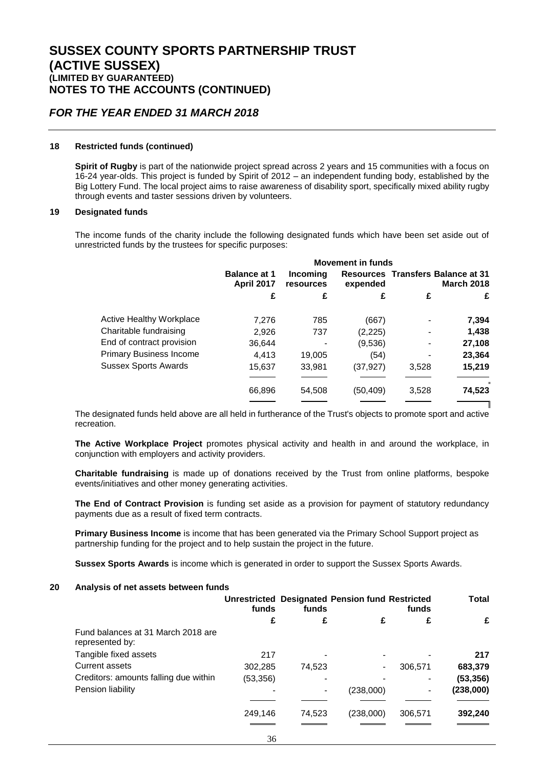### *FOR THE YEAR ENDED 31 MARCH 2018*

#### **18 Restricted funds (continued)**

**Spirit of Rugby** is part of the nationwide project spread across 2 years and 15 communities with a focus on 16-24 year-olds. This project is funded by Spirit of 2012 – an independent funding body, established by the Big Lottery Fund. The local project aims to raise awareness of disability sport, specifically mixed ability rugby through events and taster sessions driven by volunteers.

#### **19 Designated funds**

The income funds of the charity include the following designated funds which have been set aside out of unrestricted funds by the trustees for specific purposes:

|                                 | <b>Movement in funds</b>                 |                              |           |       |                                                               |
|---------------------------------|------------------------------------------|------------------------------|-----------|-------|---------------------------------------------------------------|
|                                 | <b>Balance at 1</b><br><b>April 2017</b> | <b>Incoming</b><br>resources | expended  |       | <b>Resources Transfers Balance at 31</b><br><b>March 2018</b> |
|                                 | £                                        | £                            | £         | £     | £                                                             |
| <b>Active Healthy Workplace</b> | 7.276                                    | 785                          | (667)     |       | 7,394                                                         |
| Charitable fundraising          | 2,926                                    | 737                          | (2, 225)  |       | 1,438                                                         |
| End of contract provision       | 36.644                                   |                              | (9,536)   |       | 27,108                                                        |
| <b>Primary Business Income</b>  | 4.413                                    | 19,005                       | (54)      |       | 23,364                                                        |
| <b>Sussex Sports Awards</b>     | 15,637                                   | 33,981                       | (37, 927) | 3,528 | 15,219                                                        |
|                                 | 66,896                                   | 54,508                       | (50, 409) | 3,528 | $\mathbf{u}$<br>74,523                                        |

The designated funds held above are all held in furtherance of the Trust's objects to promote sport and active recreation.

**The Active Workplace Project** promotes physical activity and health in and around the workplace, in conjunction with employers and activity providers.

**Charitable fundraising** is made up of donations received by the Trust from online platforms, bespoke events/initiatives and other money generating activities.

**The End of Contract Provision** is funding set aside as a provision for payment of statutory redundancy payments due as a result of fixed term contracts.

**Primary Business Income** is income that has been generated via the Primary School Support project as partnership funding for the project and to help sustain the project in the future.

**Sussex Sports Awards** is income which is generated in order to support the Sussex Sports Awards.

#### **20 Analysis of net assets between funds**

|                                                       | funds     | funds  | <b>Unrestricted Designated Pension fund Restricted</b> | funds   | <b>Total</b> |
|-------------------------------------------------------|-----------|--------|--------------------------------------------------------|---------|--------------|
|                                                       | £         | £      | £                                                      | £       | £            |
| Fund balances at 31 March 2018 are<br>represented by: |           |        |                                                        |         |              |
| Tangible fixed assets                                 | 217       |        |                                                        |         | 217          |
| Current assets                                        | 302,285   | 74,523 |                                                        | 306,571 | 683,379      |
| Creditors: amounts falling due within                 | (53, 356) |        |                                                        |         | (53, 356)    |
| Pension liability                                     |           |        | (238,000)                                              |         | (238,000)    |
|                                                       |           |        |                                                        |         |              |
|                                                       | 249,146   | 74,523 | (238,000)                                              | 306,571 | 392,240      |
|                                                       |           |        |                                                        |         |              |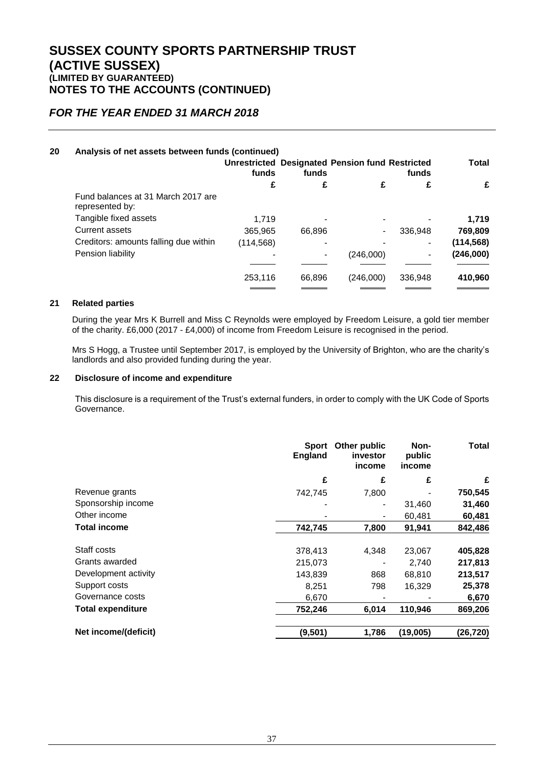### *FOR THE YEAR ENDED 31 MARCH 2018*

### **20 Analysis of net assets between funds (continued)**

|                                                       | funds      | funds  | <b>Unrestricted Designated Pension fund Restricted</b> | funds   | <b>Total</b> |
|-------------------------------------------------------|------------|--------|--------------------------------------------------------|---------|--------------|
|                                                       | £          |        |                                                        |         | £            |
| Fund balances at 31 March 2017 are<br>represented by: |            |        |                                                        |         |              |
| Tangible fixed assets                                 | 1.719      |        |                                                        |         | 1,719        |
| <b>Current assets</b>                                 | 365,965    | 66,896 |                                                        | 336,948 | 769,809      |
| Creditors: amounts falling due within                 | (114, 568) |        |                                                        |         | (114, 568)   |
| Pension liability                                     |            |        | (246,000)                                              |         | (246,000)    |
|                                                       |            |        |                                                        |         |              |
|                                                       | 253,116    | 66,896 | (246,000)                                              | 336,948 | 410,960      |
|                                                       |            |        |                                                        |         |              |

#### **21 Related parties**

During the year Mrs K Burrell and Miss C Reynolds were employed by Freedom Leisure, a gold tier member of the charity. £6,000 (2017 - £4,000) of income from Freedom Leisure is recognised in the period.

Mrs S Hogg, a Trustee until September 2017, is employed by the University of Brighton, who are the charity's landlords and also provided funding during the year.

#### **22 Disclosure of income and expenditure**

This disclosure is a requirement of the Trust's external funders, in order to comply with the UK Code of Sports Governance.

|                          | <b>Sport</b><br><b>England</b> | Other public<br>investor<br>income | Non-<br>public<br>income | Total     |
|--------------------------|--------------------------------|------------------------------------|--------------------------|-----------|
|                          | £                              | £                                  | £                        | £         |
| Revenue grants           | 742,745                        | 7,800                              |                          | 750,545   |
| Sponsorship income       |                                |                                    | 31,460                   | 31,460    |
| Other income             |                                |                                    | 60,481                   | 60,481    |
| <b>Total income</b>      | 742,745                        | 7,800                              | 91.941                   | 842,486   |
| Staff costs              | 378,413                        | 4,348                              | 23,067                   | 405,828   |
| Grants awarded           | 215,073                        |                                    | 2,740                    | 217,813   |
| Development activity     | 143,839                        | 868                                | 68,810                   | 213,517   |
| Support costs            | 8,251                          | 798                                | 16,329                   | 25,378    |
| Governance costs         | 6,670                          |                                    |                          | 6,670     |
| <b>Total expenditure</b> | 752,246                        | 6,014                              | 110,946                  | 869,206   |
| Net income/(deficit)     | (9,501)                        | 1,786                              | (19,005)                 | (26, 720) |